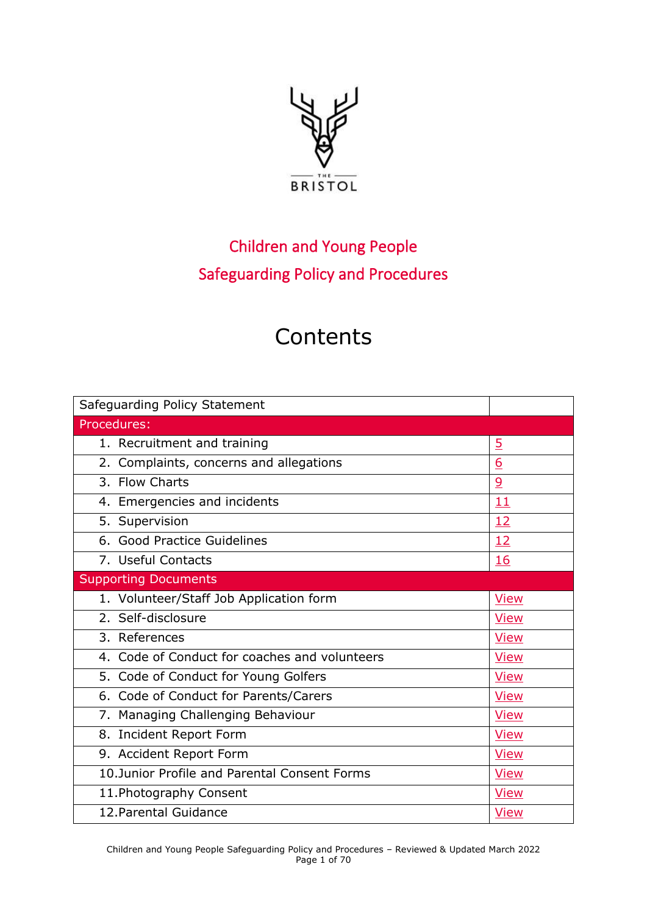

# Children and Young People Safeguarding Policy and Procedures

# **Contents**

| Safeguarding Policy Statement                 |                 |
|-----------------------------------------------|-----------------|
| Procedures:                                   |                 |
| 1. Recruitment and training                   | $\overline{5}$  |
| 2. Complaints, concerns and allegations       | $\underline{6}$ |
| 3. Flow Charts                                | $\overline{9}$  |
| 4. Emergencies and incidents                  | 11              |
| 5. Supervision                                | <u>12</u>       |
| 6. Good Practice Guidelines                   | <u>12</u>       |
| 7. Useful Contacts                            | 16              |
| <b>Supporting Documents</b>                   |                 |
| 1. Volunteer/Staff Job Application form       | <b>View</b>     |
| 2. Self-disclosure                            | <b>View</b>     |
| 3. References                                 | <b>View</b>     |
| 4. Code of Conduct for coaches and volunteers | <b>View</b>     |
| 5. Code of Conduct for Young Golfers          | <b>View</b>     |
| 6. Code of Conduct for Parents/Carers         | <b>View</b>     |
| 7. Managing Challenging Behaviour             | <b>View</b>     |
| 8. Incident Report Form                       | <b>View</b>     |
| 9. Accident Report Form                       | <b>View</b>     |
| 10. Junior Profile and Parental Consent Forms | <b>View</b>     |
| 11. Photography Consent                       | <b>View</b>     |
| 12. Parental Guidance                         | <b>View</b>     |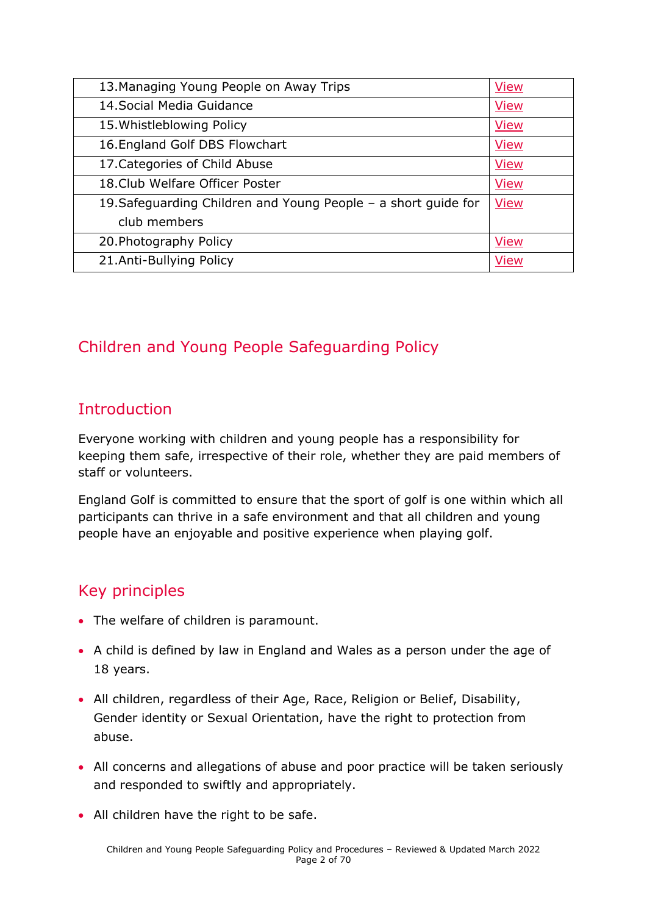| 13. Managing Young People on Away Trips                        | <b>View</b> |
|----------------------------------------------------------------|-------------|
| 14. Social Media Guidance                                      | <b>View</b> |
| 15. Whistleblowing Policy                                      | <b>View</b> |
| 16. England Golf DBS Flowchart                                 | <b>View</b> |
| 17. Categories of Child Abuse                                  | <b>View</b> |
| 18. Club Welfare Officer Poster                                | <b>View</b> |
| 19. Safeguarding Children and Young People - a short guide for | <b>View</b> |
| club members                                                   |             |
| 20. Photography Policy                                         | <b>View</b> |
| 21.Anti-Bullying Policy                                        | <b>View</b> |

# Children and Young People Safeguarding Policy

# **Introduction**

Everyone working with children and young people has a responsibility for keeping them safe, irrespective of their role, whether they are paid members of staff or volunteers.

England Golf is committed to ensure that the sport of golf is one within which all participants can thrive in a safe environment and that all children and young people have an enjoyable and positive experience when playing golf.

# Key principles

- The welfare of children is paramount.
- A child is defined by law in England and Wales as a person under the age of 18 years.
- All children, regardless of their Age, Race, Religion or Belief, Disability, Gender identity or Sexual Orientation, have the right to protection from abuse.
- All concerns and allegations of abuse and poor practice will be taken seriously and responded to swiftly and appropriately.
- All children have the right to be safe.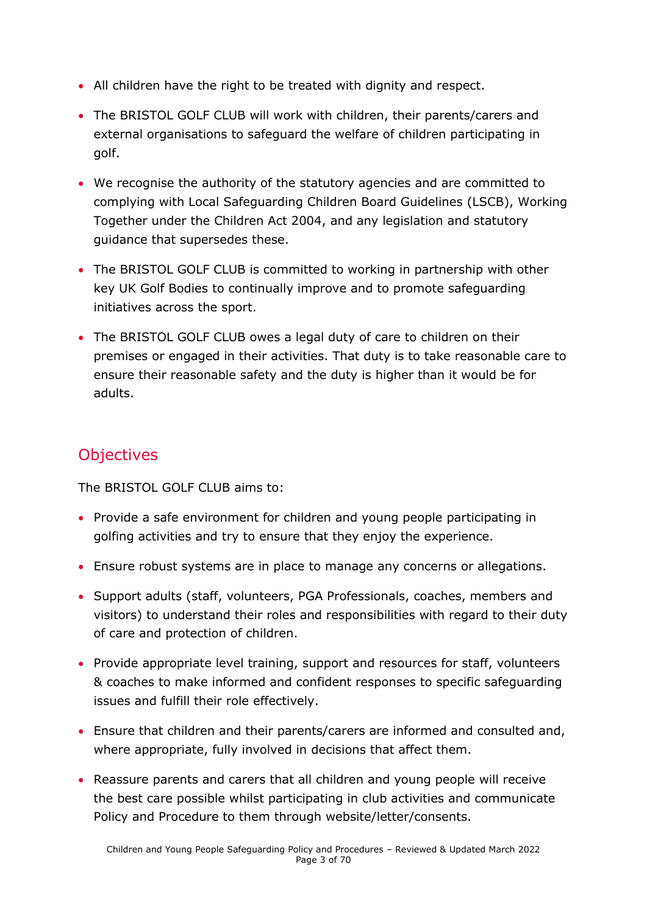- All children have the right to be treated with dignity and respect.
- The BRISTOL GOLF CLUB will work with children, their parents/carers and external organisations to safeguard the welfare of children participating in golf.
- We recognise the authority of the statutory agencies and are committed to complying with Local Safeguarding Children Board Guidelines (LSCB), Working Together under the Children Act 2004, and any legislation and statutory guidance that supersedes these.
- The BRISTOL GOLF CLUB is committed to working in partnership with other key UK Golf Bodies to continually improve and to promote safeguarding initiatives across the sport.
- The BRISTOL GOLF CLUB owes a legal duty of care to children on their premises or engaged in their activities. That duty is to take reasonable care to ensure their reasonable safety and the duty is higher than it would be for adults.

### **Objectives**

The BRISTOL GOLF CLUB aims to:

- Provide a safe environment for children and young people participating in golfing activities and try to ensure that they enjoy the experience.
- Ensure robust systems are in place to manage any concerns or allegations.
- Support adults (staff, volunteers, PGA Professionals, coaches, members and visitors) to understand their roles and responsibilities with regard to their duty of care and protection of children.
- Provide appropriate level training, support and resources for staff, volunteers & coaches to make informed and confident responses to specific safeguarding issues and fulfill their role effectively.
- Ensure that children and their parents/carers are informed and consulted and, where appropriate, fully involved in decisions that affect them.
- Reassure parents and carers that all children and young people will receive the best care possible whilst participating in club activities and communicate Policy and Procedure to them through website/letter/consents.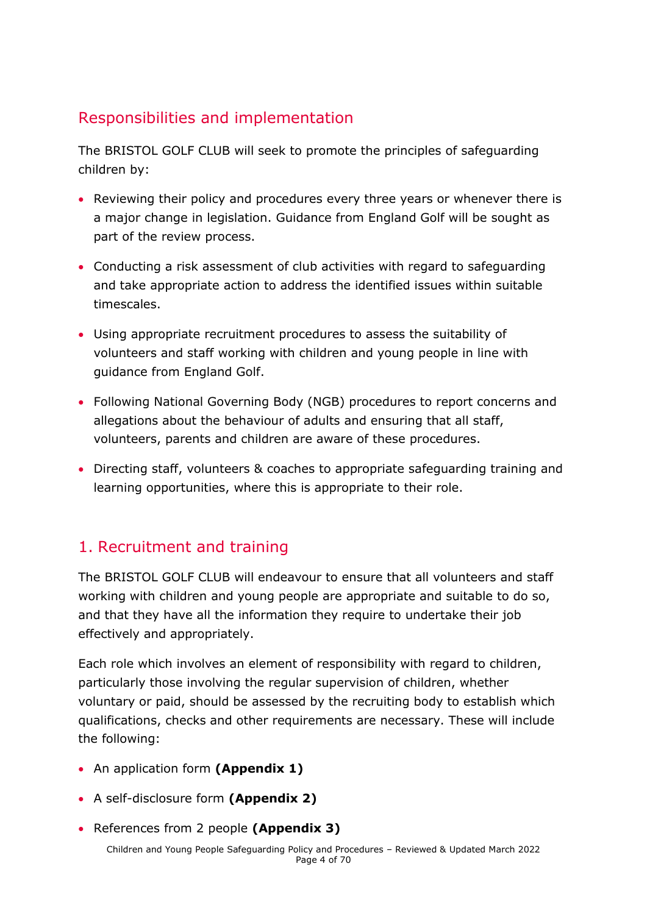# Responsibilities and implementation

The BRISTOL GOLF CLUB will seek to promote the principles of safeguarding children by:

- Reviewing their policy and procedures every three years or whenever there is a major change in legislation. Guidance from England Golf will be sought as part of the review process.
- Conducting a risk assessment of club activities with regard to safeguarding and take appropriate action to address the identified issues within suitable timescales.
- Using appropriate recruitment procedures to assess the suitability of volunteers and staff working with children and young people in line with guidance from England Golf.
- Following National Governing Body (NGB) procedures to report concerns and allegations about the behaviour of adults and ensuring that all staff, volunteers, parents and children are aware of these procedures.
- Directing staff, volunteers & coaches to appropriate safeguarding training and learning opportunities, where this is appropriate to their role.

# <span id="page-3-0"></span>1. Recruitment and training

The BRISTOL GOLF CLUB will endeavour to ensure that all volunteers and staff working with children and young people are appropriate and suitable to do so, and that they have all the information they require to undertake their job effectively and appropriately.

Each role which involves an element of responsibility with regard to children, particularly those involving the regular supervision of children, whether voluntary or paid, should be assessed by the recruiting body to establish which qualifications, checks and other requirements are necessary. These will include the following:

- An application form **(Appendix 1)**
- A self-disclosure form **(Appendix 2)**
- References from 2 people **(Appendix 3)**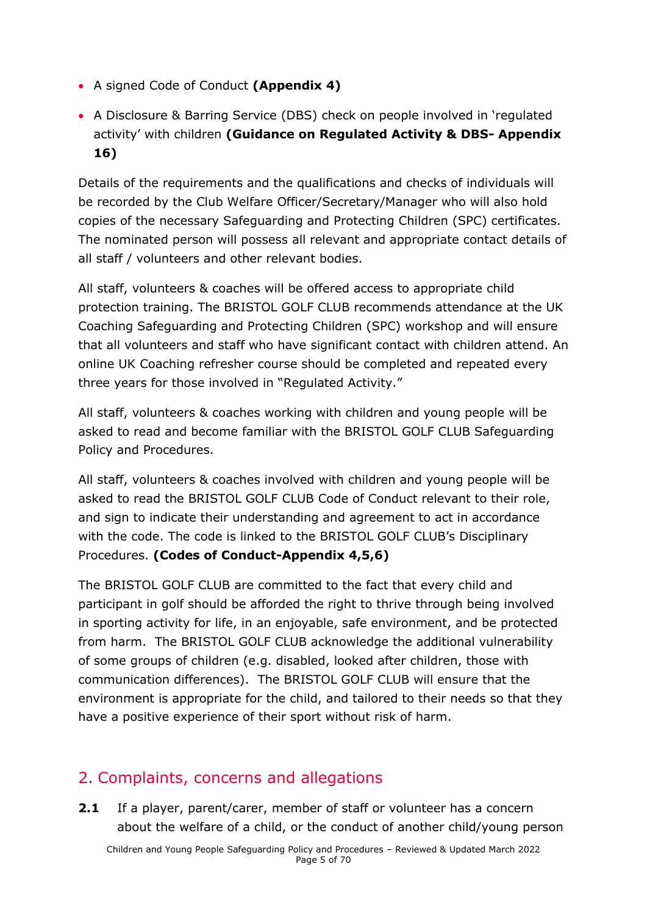- A signed Code of Conduct **(Appendix 4)**
- A Disclosure & Barring Service (DBS) check on people involved in 'regulated activity' with children **(Guidance on Regulated Activity & DBS- Appendix 16)**

Details of the requirements and the qualifications and checks of individuals will be recorded by the Club Welfare Officer/Secretary/Manager who will also hold copies of the necessary Safeguarding and Protecting Children (SPC) certificates. The nominated person will possess all relevant and appropriate contact details of all staff / volunteers and other relevant bodies.

All staff, volunteers & coaches will be offered access to appropriate child protection training. The BRISTOL GOLF CLUB recommends attendance at the UK Coaching Safeguarding and Protecting Children (SPC) workshop and will ensure that all volunteers and staff who have significant contact with children attend. An online UK Coaching refresher course should be completed and repeated every three years for those involved in "Regulated Activity."

All staff, volunteers & coaches working with children and young people will be asked to read and become familiar with the BRISTOL GOLF CLUB Safeguarding Policy and Procedures.

All staff, volunteers & coaches involved with children and young people will be asked to read the BRISTOL GOLF CLUB Code of Conduct relevant to their role, and sign to indicate their understanding and agreement to act in accordance with the code. The code is linked to the BRISTOL GOLF CLUB's Disciplinary Procedures. **(Codes of Conduct-Appendix 4,5,6)**

The BRISTOL GOLF CLUB are committed to the fact that every child and participant in golf should be afforded the right to thrive through being involved in sporting activity for life, in an enjoyable, safe environment, and be protected from harm. The BRISTOL GOLF CLUB acknowledge the additional vulnerability of some groups of children (e.g. disabled, looked after children, those with communication differences). The BRISTOL GOLF CLUB will ensure that the environment is appropriate for the child, and tailored to their needs so that they have a positive experience of their sport without risk of harm.

### <span id="page-4-0"></span>2. Complaints, concerns and allegations

**2.1** If a player, parent/carer, member of staff or volunteer has a concern about the welfare of a child, or the conduct of another child/young person

Children and Young People Safeguarding Policy and Procedures – Reviewed & Updated March 2022 Page 5 of 70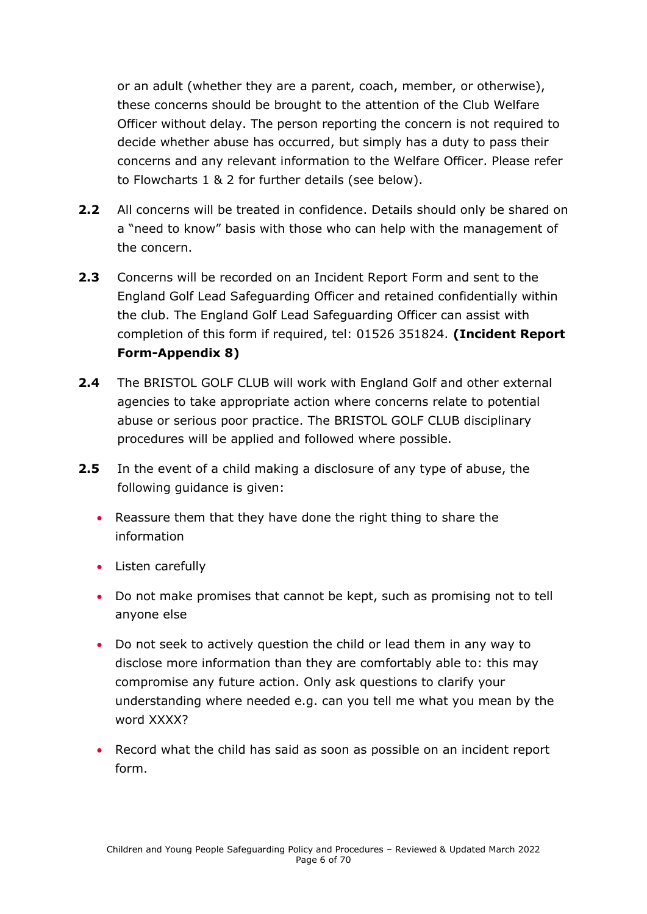or an adult (whether they are a parent, coach, member, or otherwise), these concerns should be brought to the attention of the Club Welfare Officer without delay. The person reporting the concern is not required to decide whether abuse has occurred, but simply has a duty to pass their concerns and any relevant information to the Welfare Officer. Please refer to Flowcharts 1 & 2 for further details (see below).

- **2.2** All concerns will be treated in confidence. Details should only be shared on a "need to know" basis with those who can help with the management of the concern.
- **2.3** Concerns will be recorded on an Incident Report Form and sent to the England Golf Lead Safeguarding Officer and retained confidentially within the club. The England Golf Lead Safeguarding Officer can assist with completion of this form if required, tel: 01526 351824. **(Incident Report Form-Appendix 8)**
- **2.4** The BRISTOL GOLF CLUB will work with England Golf and other external agencies to take appropriate action where concerns relate to potential abuse or serious poor practice. The BRISTOL GOLF CLUB disciplinary procedures will be applied and followed where possible.
- **2.5** In the event of a child making a disclosure of any type of abuse, the following guidance is given:
	- Reassure them that they have done the right thing to share the information
	- Listen carefully
	- Do not make promises that cannot be kept, such as promising not to tell anyone else
	- Do not seek to actively question the child or lead them in any way to disclose more information than they are comfortably able to: this may compromise any future action. Only ask questions to clarify your understanding where needed e.g. can you tell me what you mean by the word XXXX?
	- Record what the child has said as soon as possible on an incident report form.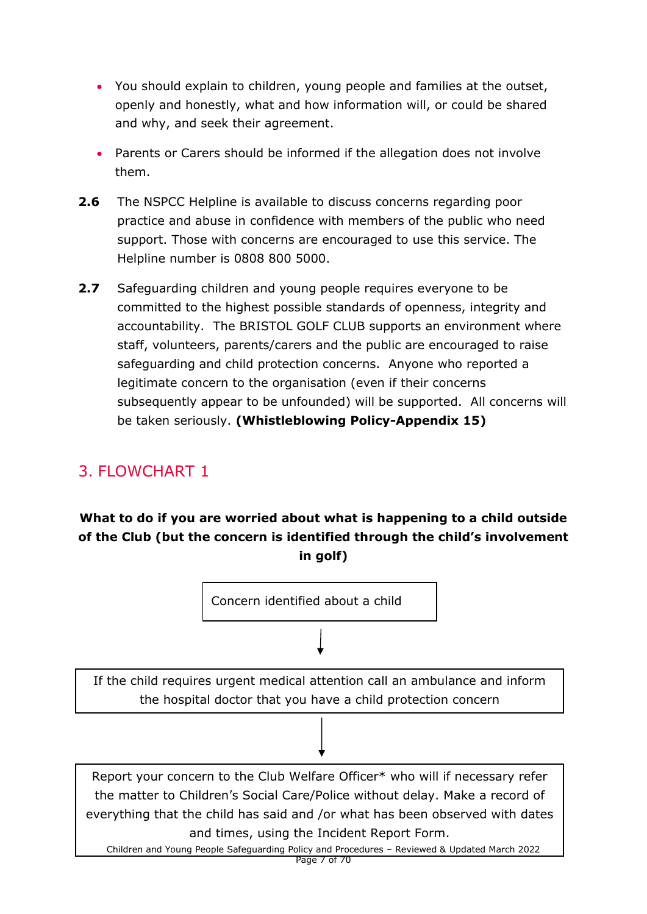- You should explain to children, young people and families at the outset, openly and honestly, what and how information will, or could be shared and why, and seek their agreement.
- Parents or Carers should be informed if the allegation does not involve them.
- **2.6** The NSPCC Helpline is available to discuss concerns regarding poor practice and abuse in confidence with members of the public who need support. Those with concerns are encouraged to use this service. The Helpline number is 0808 800 5000.
- **2.7** Safeguarding children and young people requires everyone to be committed to the highest possible standards of openness, integrity and accountability. The BRISTOL GOLF CLUB supports an environment where staff, volunteers, parents/carers and the public are encouraged to raise safeguarding and child protection concerns. Anyone who reported a legitimate concern to the organisation (even if their concerns subsequently appear to be unfounded) will be supported. All concerns will be taken seriously. **(Whistleblowing Policy-Appendix 15)**

# 3. FLOWCHART 1

### **What to do if you are worried about what is happening to a child outside of the Club (but the concern is identified through the child's involvement in golf)**

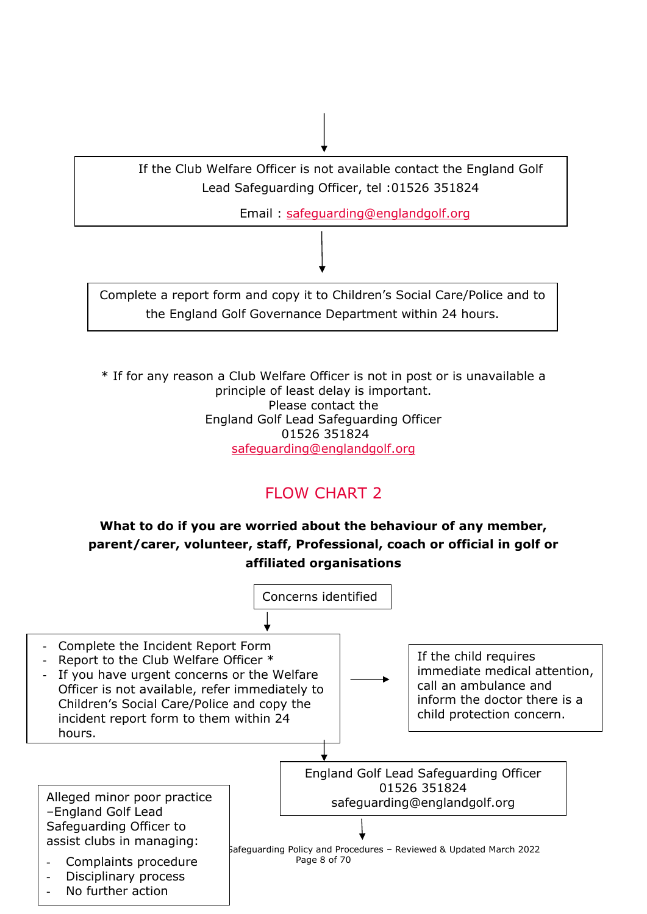

\* If for any reason a Club Welfare Officer is not in post or is unavailable a principle of least delay is important. Please contact the England Golf Lead Safeguarding Officer 01526 351824 [safeguarding@englandgolf.org](mailto:safeguarding@englandgolf.org)

# FLOW CHART 2

### **What to do if you are worried about the behaviour of any member, parent/carer, volunteer, staff, Professional, coach or official in golf or affiliated organisations**

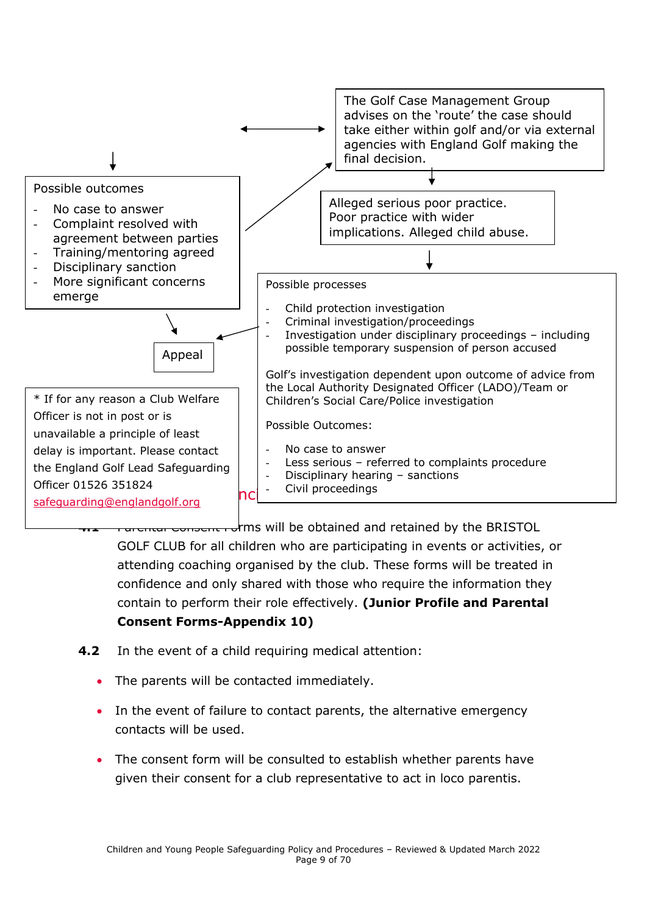

<span id="page-8-0"></span>GOLF CLUB for all children who are participating in events or activities, or attending coaching organised by the club. These forms will be treated in confidence and only shared with those who require the information they contain to perform their role effectively. **(Junior Profile and Parental Consent Forms-Appendix 10)**

- **4.2** In the event of a child requiring medical attention:
	- The parents will be contacted immediately.
	- In the event of failure to contact parents, the alternative emergency contacts will be used.
	- The consent form will be consulted to establish whether parents have given their consent for a club representative to act in loco parentis.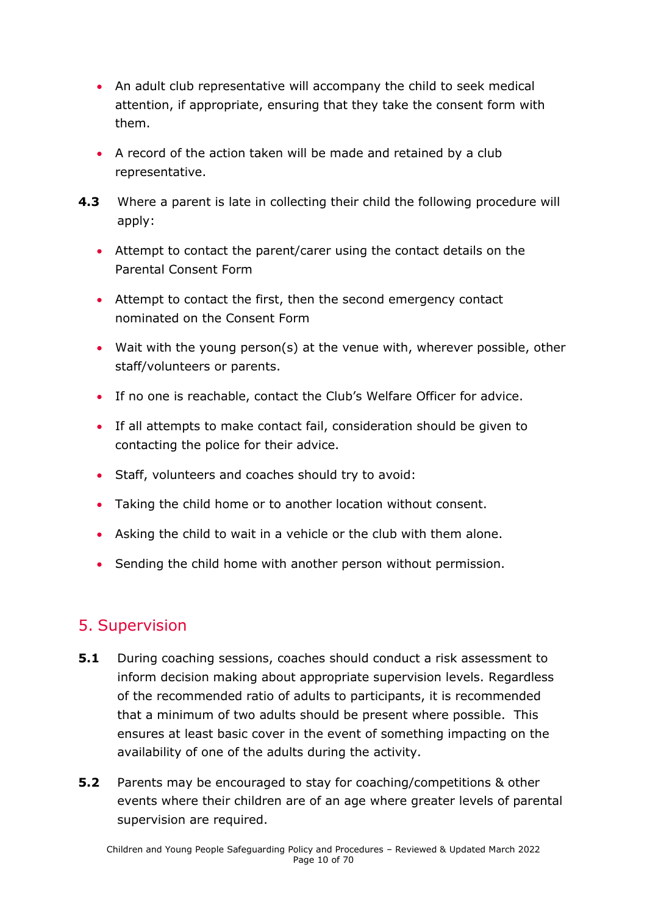- An adult club representative will accompany the child to seek medical attention, if appropriate, ensuring that they take the consent form with them.
- A record of the action taken will be made and retained by a club representative.
- **4.3** Where a parent is late in collecting their child the following procedure will apply:
	- Attempt to contact the parent/carer using the contact details on the Parental Consent Form
	- Attempt to contact the first, then the second emergency contact nominated on the Consent Form
	- Wait with the young person(s) at the venue with, wherever possible, other staff/volunteers or parents.
	- If no one is reachable, contact the Club's Welfare Officer for advice.
	- If all attempts to make contact fail, consideration should be given to contacting the police for their advice.
	- Staff, volunteers and coaches should try to avoid:
	- Taking the child home or to another location without consent.
	- Asking the child to wait in a vehicle or the club with them alone.
	- Sending the child home with another person without permission.

### <span id="page-9-0"></span>5. Supervision

- **5.1** During coaching sessions, coaches should conduct a risk assessment to inform decision making about appropriate supervision levels. Regardless of the recommended ratio of adults to participants, it is recommended that a minimum of two adults should be present where possible. This ensures at least basic cover in the event of something impacting on the availability of one of the adults during the activity.
- **5.2** Parents may be encouraged to stay for coaching/competitions & other events where their children are of an age where greater levels of parental supervision are required.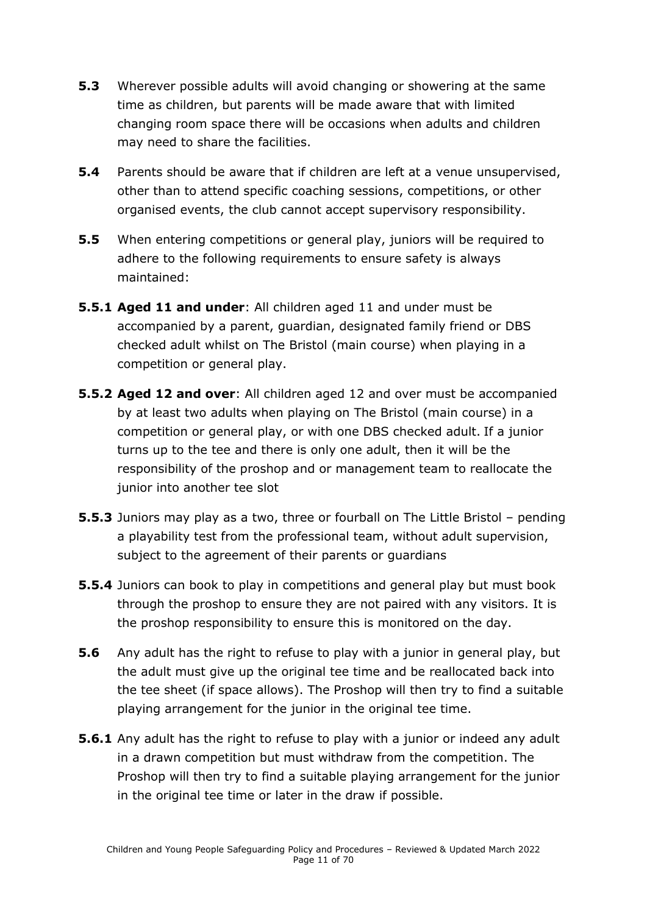- **5.3** Wherever possible adults will avoid changing or showering at the same time as children, but parents will be made aware that with limited changing room space there will be occasions when adults and children may need to share the facilities.
- **5.4** Parents should be aware that if children are left at a venue unsupervised, other than to attend specific coaching sessions, competitions, or other organised events, the club cannot accept supervisory responsibility.
- **5.5** When entering competitions or general play, juniors will be required to adhere to the following requirements to ensure safety is always maintained:
- **5.5.1 Aged 11 and under**: All children aged 11 and under must be accompanied by a parent, guardian, designated family friend or DBS checked adult whilst on The Bristol (main course) when playing in a competition or general play.
- **5.5.2 Aged 12 and over**: All children aged 12 and over must be accompanied by at least two adults when playing on The Bristol (main course) in a competition or general play, or with one DBS checked adult. If a junior turns up to the tee and there is only one adult, then it will be the responsibility of the proshop and or management team to reallocate the junior into another tee slot
- **5.5.3** Juniors may play as a two, three or fourball on The Little Bristol pending a playability test from the professional team, without adult supervision, subject to the agreement of their parents or guardians
- **5.5.4** Juniors can book to play in competitions and general play but must book through the proshop to ensure they are not paired with any visitors. It is the proshop responsibility to ensure this is monitored on the day.
- **5.6** Any adult has the right to refuse to play with a junior in general play, but the adult must give up the original tee time and be reallocated back into the tee sheet (if space allows). The Proshop will then try to find a suitable playing arrangement for the junior in the original tee time.
- **5.6.1** Any adult has the right to refuse to play with a junior or indeed any adult in a drawn competition but must withdraw from the competition. The Proshop will then try to find a suitable playing arrangement for the junior in the original tee time or later in the draw if possible.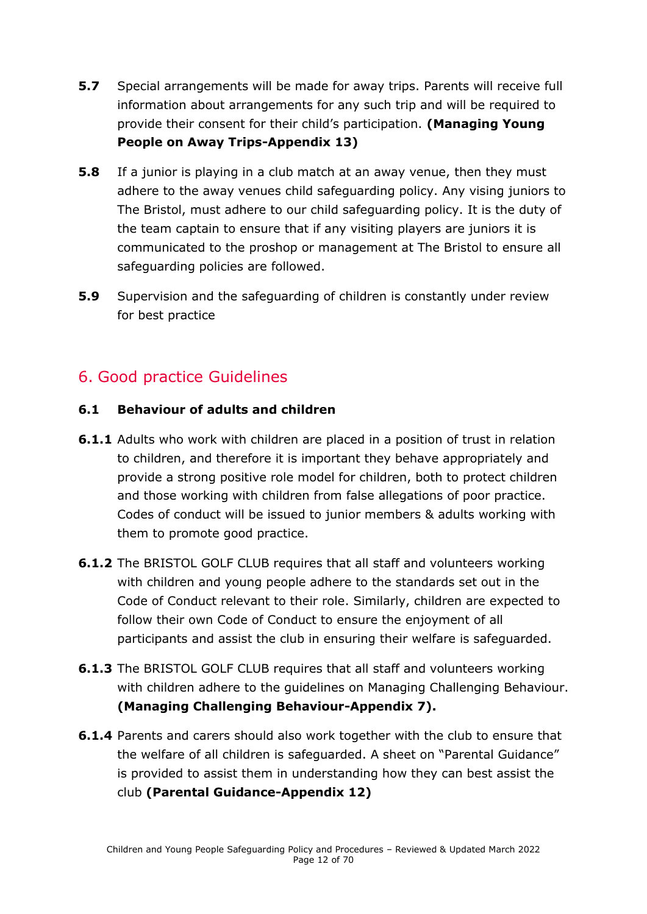- **5.7** Special arrangements will be made for away trips. Parents will receive full information about arrangements for any such trip and will be required to provide their consent for their child's participation. **(Managing Young People on Away Trips-Appendix 13)**
- **5.8** If a junior is playing in a club match at an away venue, then they must adhere to the away venues child safeguarding policy. Any vising juniors to The Bristol, must adhere to our child safeguarding policy. It is the duty of the team captain to ensure that if any visiting players are juniors it is communicated to the proshop or management at The Bristol to ensure all safeguarding policies are followed.
- **5.9** Supervision and the safeguarding of children is constantly under review for best practice

### <span id="page-11-0"></span>6. Good practice Guidelines

#### **6.1 Behaviour of adults and children**

- **6.1.1** Adults who work with children are placed in a position of trust in relation to children, and therefore it is important they behave appropriately and provide a strong positive role model for children, both to protect children and those working with children from false allegations of poor practice. Codes of conduct will be issued to junior members & adults working with them to promote good practice.
- **6.1.2** The BRISTOL GOLF CLUB requires that all staff and volunteers working with children and young people adhere to the standards set out in the Code of Conduct relevant to their role. Similarly, children are expected to follow their own Code of Conduct to ensure the enjoyment of all participants and assist the club in ensuring their welfare is safeguarded.
- **6.1.3** The BRISTOL GOLF CLUB requires that all staff and volunteers working with children adhere to the guidelines on Managing Challenging Behaviour. **(Managing Challenging Behaviour-Appendix 7).**
- **6.1.4** Parents and carers should also work together with the club to ensure that the welfare of all children is safeguarded. A sheet on "Parental Guidance" is provided to assist them in understanding how they can best assist the club **(Parental Guidance-Appendix 12)**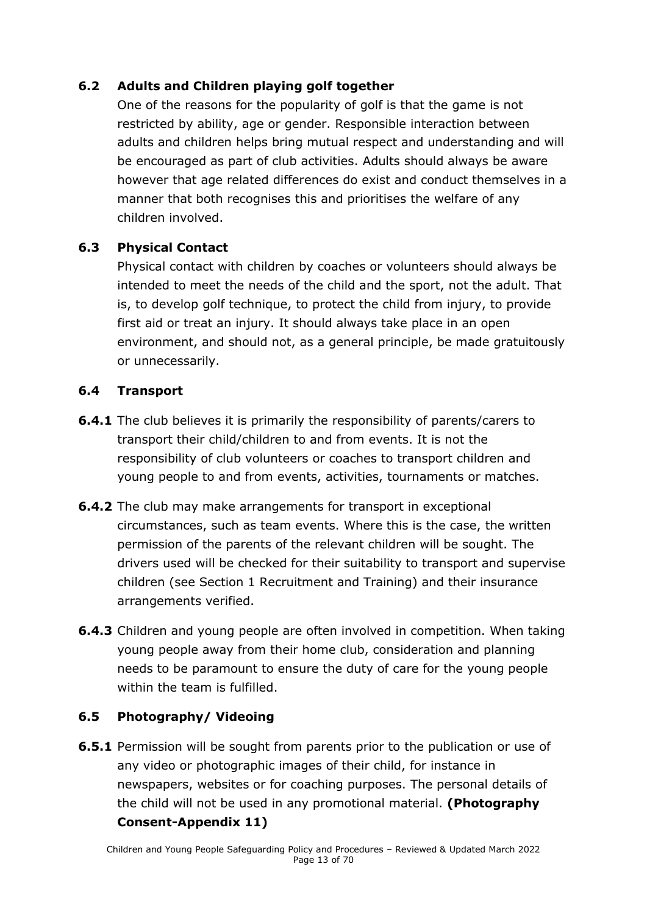### **6.2 Adults and Children playing golf together**

One of the reasons for the popularity of golf is that the game is not restricted by ability, age or gender. Responsible interaction between adults and children helps bring mutual respect and understanding and will be encouraged as part of club activities. Adults should always be aware however that age related differences do exist and conduct themselves in a manner that both recognises this and prioritises the welfare of any children involved.

#### **6.3 Physical Contact**

Physical contact with children by coaches or volunteers should always be intended to meet the needs of the child and the sport, not the adult. That is, to develop golf technique, to protect the child from injury, to provide first aid or treat an injury. It should always take place in an open environment, and should not, as a general principle, be made gratuitously or unnecessarily.

#### **6.4 Transport**

- **6.4.1** The club believes it is primarily the responsibility of parents/carers to transport their child/children to and from events. It is not the responsibility of club volunteers or coaches to transport children and young people to and from events, activities, tournaments or matches.
- **6.4.2** The club may make arrangements for transport in exceptional circumstances, such as team events. Where this is the case, the written permission of the parents of the relevant children will be sought. The drivers used will be checked for their suitability to transport and supervise children (see Section 1 Recruitment and Training) and their insurance arrangements verified.
- **6.4.3** Children and young people are often involved in competition. When taking young people away from their home club, consideration and planning needs to be paramount to ensure the duty of care for the young people within the team is fulfilled.

#### **6.5 Photography/ Videoing**

**6.5.1** Permission will be sought from parents prior to the publication or use of any video or photographic images of their child, for instance in newspapers, websites or for coaching purposes. The personal details of the child will not be used in any promotional material. **(Photography Consent-Appendix 11)**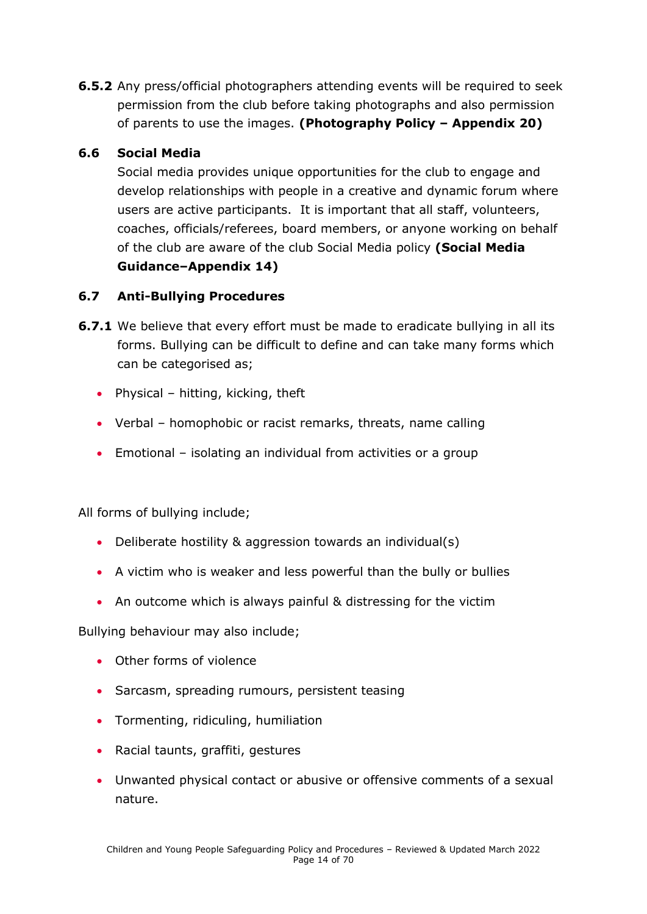**6.5.2** Any press/official photographers attending events will be required to seek permission from the club before taking photographs and also permission of parents to use the images. **(Photography Policy – Appendix 20)**

### **6.6 Social Media**

Social media provides unique opportunities for the club to engage and develop relationships with people in a creative and dynamic forum where users are active participants. It is important that all staff, volunteers, coaches, officials/referees, board members, or anyone working on behalf of the club are aware of the club Social Media policy **(Social Media Guidance–Appendix 14)**

### **6.7 Anti-Bullying Procedures**

- **6.7.1** We believe that every effort must be made to eradicate bullying in all its forms. Bullying can be difficult to define and can take many forms which can be categorised as;
	- Physical hitting, kicking, theft
	- Verbal homophobic or racist remarks, threats, name calling
	- Emotional isolating an individual from activities or a group

All forms of bullying include;

- Deliberate hostility & aggression towards an individual(s)
- A victim who is weaker and less powerful than the bully or bullies
- An outcome which is always painful & distressing for the victim

Bullying behaviour may also include;

- Other forms of violence
- Sarcasm, spreading rumours, persistent teasing
- Tormenting, ridiculing, humiliation
- Racial taunts, graffiti, gestures
- Unwanted physical contact or abusive or offensive comments of a sexual nature.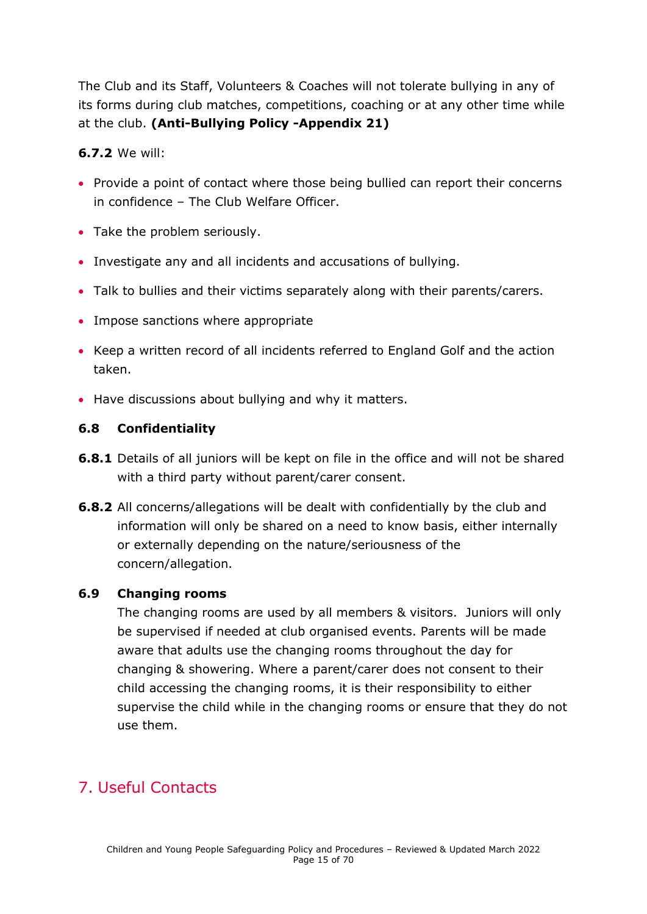The Club and its Staff, Volunteers & Coaches will not tolerate bullying in any of its forms during club matches, competitions, coaching or at any other time while at the club. **(Anti-Bullying Policy -Appendix 21)**

#### **6.7.2** We will:

- Provide a point of contact where those being bullied can report their concerns in confidence – The Club Welfare Officer.
- Take the problem seriously.
- Investigate any and all incidents and accusations of bullying.
- Talk to bullies and their victims separately along with their parents/carers.
- Impose sanctions where appropriate
- Keep a written record of all incidents referred to England Golf and the action taken.
- Have discussions about bullying and why it matters.

### **6.8 Confidentiality**

- **6.8.1** Details of all juniors will be kept on file in the office and will not be shared with a third party without parent/carer consent.
- **6.8.2** All concerns/allegations will be dealt with confidentially by the club and information will only be shared on a need to know basis, either internally or externally depending on the nature/seriousness of the concern/allegation.

#### **6.9 Changing rooms**

The changing rooms are used by all members & visitors. Juniors will only be supervised if needed at club organised events. Parents will be made aware that adults use the changing rooms throughout the day for changing & showering. Where a parent/carer does not consent to their child accessing the changing rooms, it is their responsibility to either supervise the child while in the changing rooms or ensure that they do not use them.

# <span id="page-14-0"></span>7. Useful Contacts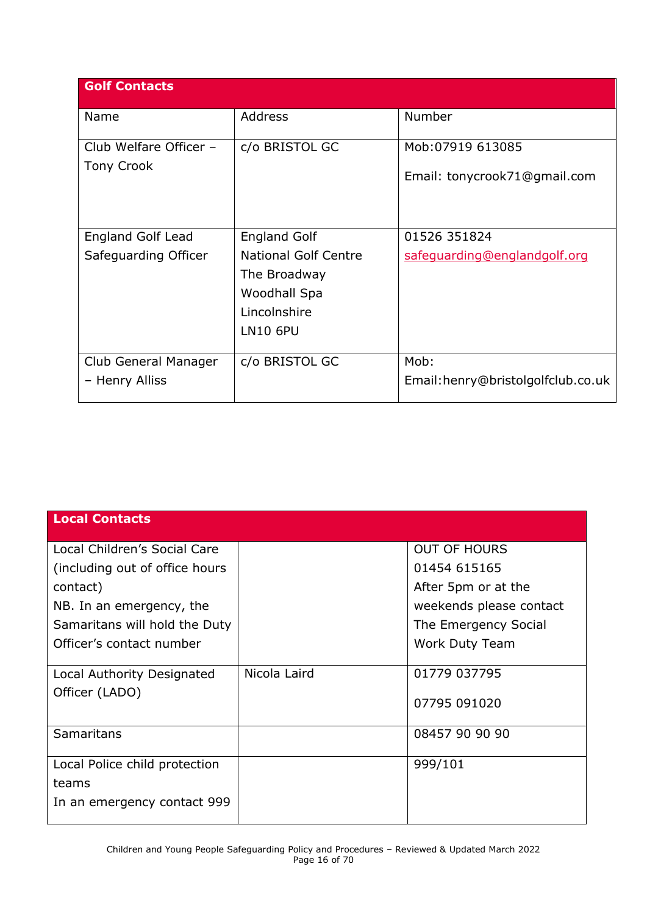| <b>Golf Contacts</b>                        |                                                                             |                                   |
|---------------------------------------------|-----------------------------------------------------------------------------|-----------------------------------|
| Name                                        | Address                                                                     | Number                            |
| Club Welfare Officer -<br><b>Tony Crook</b> | c/o BRISTOL GC                                                              | Mob: 07919 613085                 |
|                                             |                                                                             | Email: tonycrook71@gmail.com      |
| <b>England Golf Lead</b>                    | <b>England Golf</b>                                                         | 01526 351824                      |
| Safeguarding Officer                        | <b>National Golf Centre</b><br>The Broadway<br>Woodhall Spa<br>Lincolnshire | safequarding@englandgolf.org      |
|                                             | <b>LN10 6PU</b>                                                             |                                   |
| Club General Manager                        | c/o BRISTOL GC                                                              | Mob:                              |
| - Henry Alliss                              |                                                                             | Email:henry@bristolgolfclub.co.uk |

| <b>Local Contacts</b>          |              |                         |
|--------------------------------|--------------|-------------------------|
| Local Children's Social Care   |              | <b>OUT OF HOURS</b>     |
| (including out of office hours |              | 01454 615165            |
| contact)                       |              | After 5pm or at the     |
| NB. In an emergency, the       |              | weekends please contact |
| Samaritans will hold the Duty  |              | The Emergency Social    |
| Officer's contact number       |              | Work Duty Team          |
| Local Authority Designated     | Nicola Laird | 01779 037795            |
| Officer (LADO)                 |              | 07795 091020            |
| <b>Samaritans</b>              |              | 08457 90 90 90          |
| Local Police child protection  |              | 999/101                 |
| teams                          |              |                         |
| In an emergency contact 999    |              |                         |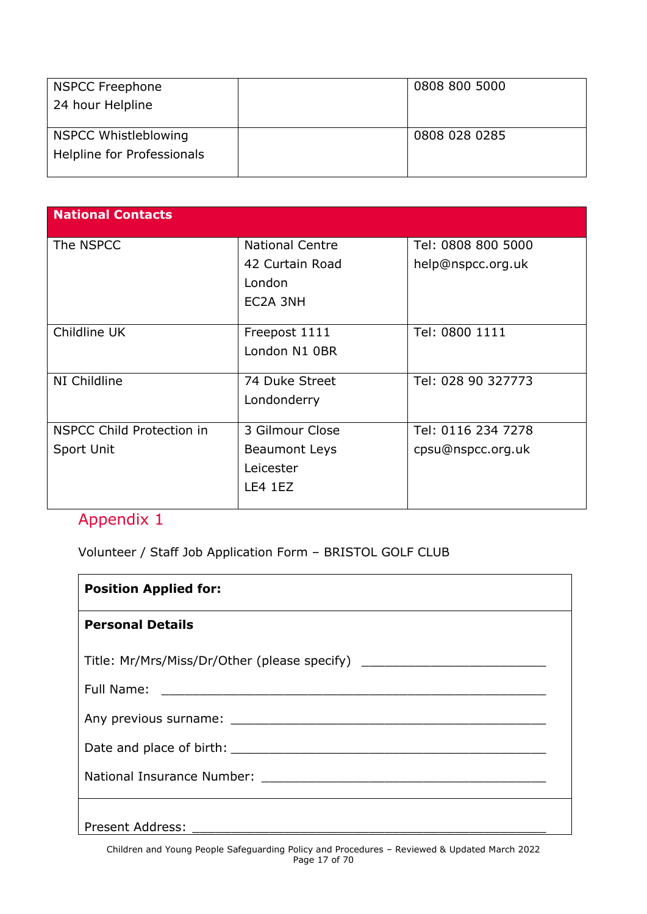| <b>NSPCC Freephone</b>      | 0808 800 5000 |
|-----------------------------|---------------|
| 24 hour Helpline            |               |
|                             |               |
| <b>NSPCC Whistleblowing</b> | 0808 028 0285 |
| Helpline for Professionals  |               |
|                             |               |

| <b>National Contacts</b>  |                        |                    |
|---------------------------|------------------------|--------------------|
| The NSPCC                 | <b>National Centre</b> | Tel: 0808 800 5000 |
|                           | 42 Curtain Road        | help@nspcc.org.uk  |
|                           | London                 |                    |
|                           | EC2A 3NH               |                    |
|                           |                        |                    |
| Childline UK              | Freepost 1111          | Tel: 0800 1111     |
|                           | London N1 0BR          |                    |
|                           |                        |                    |
| NI Childline              | 74 Duke Street         | Tel: 028 90 327773 |
|                           | Londonderry            |                    |
|                           |                        |                    |
| NSPCC Child Protection in | 3 Gilmour Close        | Tel: 0116 234 7278 |
| Sport Unit                | <b>Beaumont Leys</b>   | cpsu@nspcc.org.uk  |
|                           | Leicester              |                    |
|                           | LE4 1EZ                |                    |
|                           |                        |                    |

<span id="page-16-0"></span>Volunteer / Staff Job Application Form – BRISTOL GOLF CLUB

| <b>Position Applied for:</b>                                                     |
|----------------------------------------------------------------------------------|
| <b>Personal Details</b>                                                          |
| Title: Mr/Mrs/Miss/Dr/Other (please specify) ___________________________________ |
|                                                                                  |
|                                                                                  |
|                                                                                  |
|                                                                                  |
|                                                                                  |
| <b>Present Address:</b>                                                          |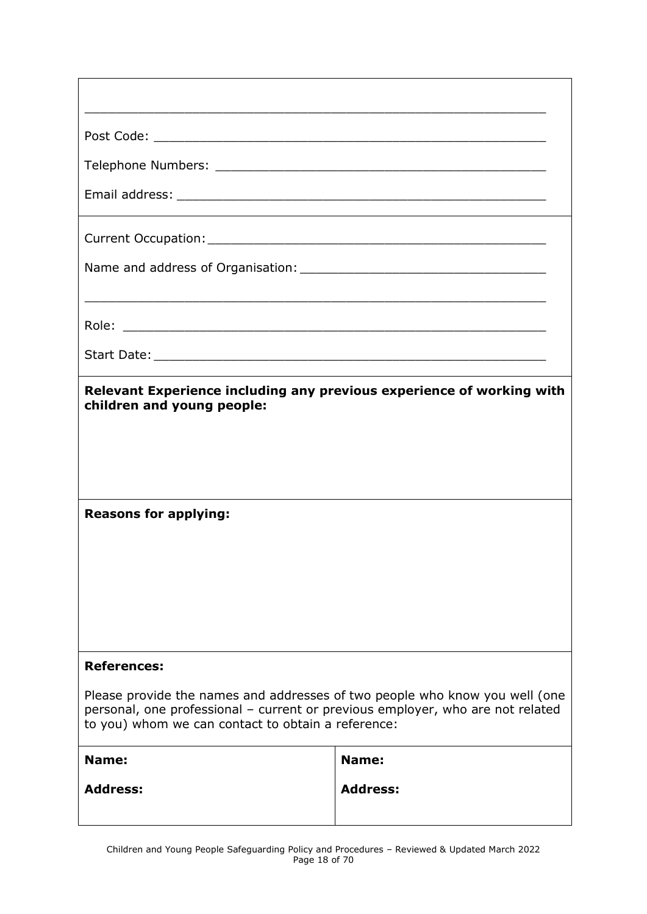| Relevant Experience including any previous experience of working with<br>children and young people:<br><b>Reasons for applying:</b>                                                                                 |                 |  |
|---------------------------------------------------------------------------------------------------------------------------------------------------------------------------------------------------------------------|-----------------|--|
|                                                                                                                                                                                                                     |                 |  |
| <b>References:</b>                                                                                                                                                                                                  |                 |  |
| Please provide the names and addresses of two people who know you well (one<br>personal, one professional - current or previous employer, who are not related<br>to you) whom we can contact to obtain a reference: |                 |  |
| Name:                                                                                                                                                                                                               | Name:           |  |
| <b>Address:</b>                                                                                                                                                                                                     | <b>Address:</b> |  |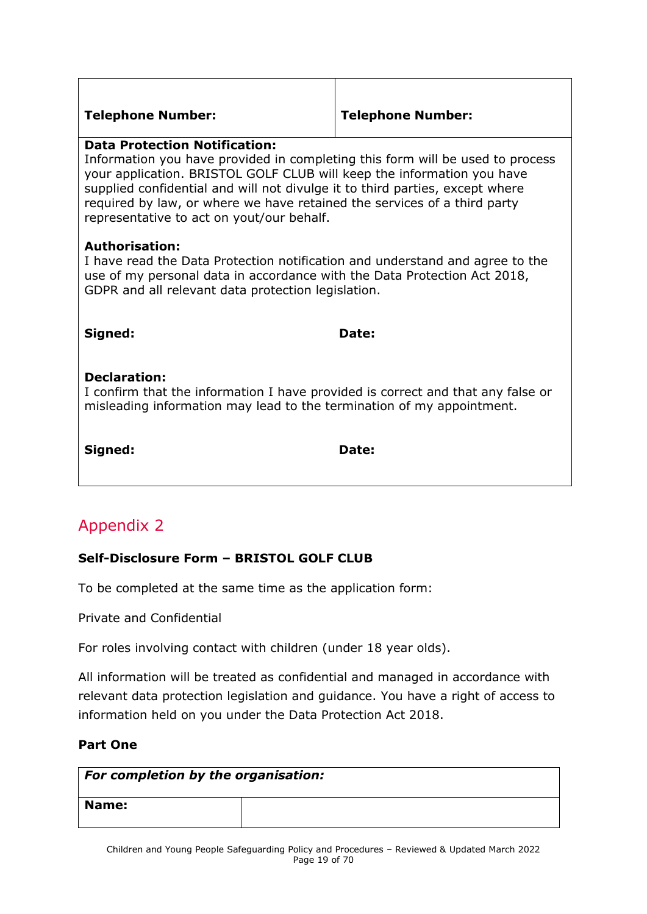#### **Telephone Number: Telephone Number:**

#### **Data Protection Notification:**

Information you have provided in completing this form will be used to process your application. BRISTOL GOLF CLUB will keep the information you have supplied confidential and will not divulge it to third parties, except where required by law, or where we have retained the services of a third party representative to act on yout/our behalf.

#### **Authorisation:**

I have read the Data Protection notification and understand and agree to the use of my personal data in accordance with the Data Protection Act 2018, GDPR and all relevant data protection legislation.

**Signed: Date:** 

#### **Declaration:**

I confirm that the information I have provided is correct and that any false or misleading information may lead to the termination of my appointment.

**Signed: Date:**

# <span id="page-18-0"></span>Appendix 2

### **Self-Disclosure Form – BRISTOL GOLF CLUB**

To be completed at the same time as the application form:

Private and Confidential

For roles involving contact with children (under 18 year olds).

All information will be treated as confidential and managed in accordance with relevant data protection legislation and guidance. You have a right of access to information held on you under the Data Protection Act 2018.

#### **Part One**

| For completion by the organisation: |  |  |
|-------------------------------------|--|--|
| <b>Name:</b>                        |  |  |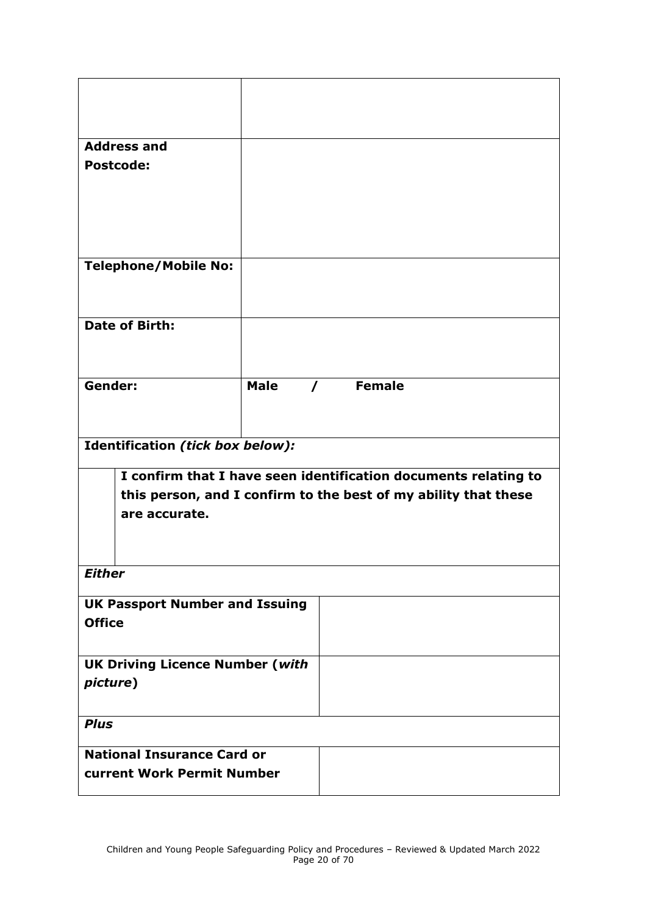| <b>Address and</b>                                              |             |          |  |
|-----------------------------------------------------------------|-------------|----------|--|
| <b>Postcode:</b>                                                |             |          |  |
|                                                                 |             |          |  |
|                                                                 |             |          |  |
|                                                                 |             |          |  |
|                                                                 |             |          |  |
|                                                                 |             |          |  |
| <b>Telephone/Mobile No:</b>                                     |             |          |  |
|                                                                 |             |          |  |
|                                                                 |             |          |  |
| <b>Date of Birth:</b>                                           |             |          |  |
|                                                                 |             |          |  |
|                                                                 |             |          |  |
|                                                                 |             |          |  |
| Gender:                                                         | <b>Male</b> | / Female |  |
|                                                                 |             |          |  |
|                                                                 |             |          |  |
|                                                                 |             |          |  |
| Identification (tick box below):                                |             |          |  |
| I confirm that I have seen identification documents relating to |             |          |  |
| this person, and I confirm to the best of my ability that these |             |          |  |
|                                                                 |             |          |  |
| are accurate.                                                   |             |          |  |
|                                                                 |             |          |  |
|                                                                 |             |          |  |
| <b>Either</b>                                                   |             |          |  |
|                                                                 |             |          |  |
| <b>UK Passport Number and Issuing</b>                           |             |          |  |
| <b>Office</b>                                                   |             |          |  |
|                                                                 |             |          |  |
| <b>UK Driving Licence Number (with</b>                          |             |          |  |
|                                                                 |             |          |  |
| picture)                                                        |             |          |  |
|                                                                 |             |          |  |
| <b>Plus</b>                                                     |             |          |  |
|                                                                 |             |          |  |
|                                                                 |             |          |  |
| <b>National Insurance Card or</b>                               |             |          |  |
| current Work Permit Number                                      |             |          |  |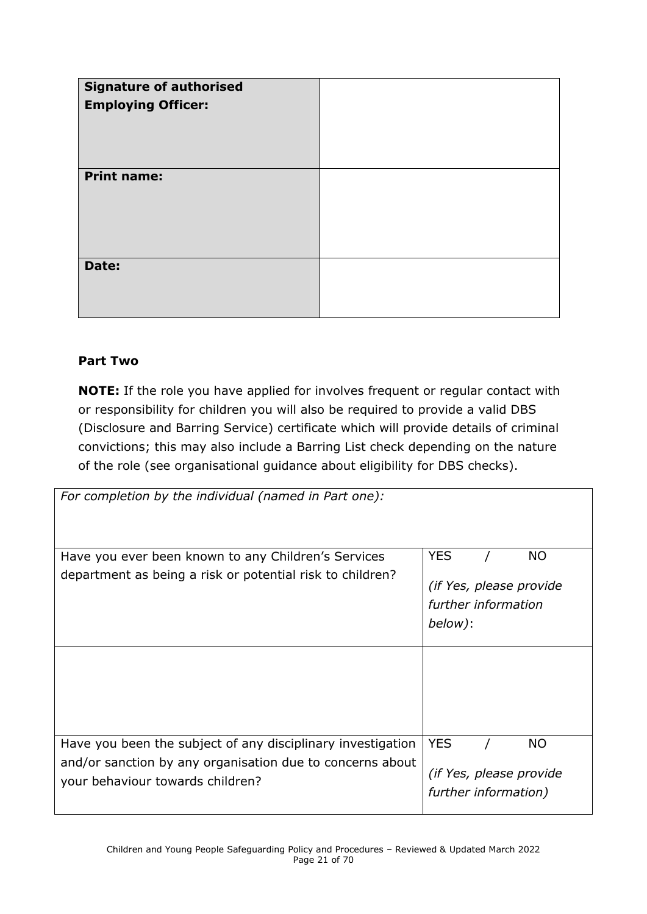| <b>Signature of authorised</b><br><b>Employing Officer:</b> |  |
|-------------------------------------------------------------|--|
| <b>Print name:</b>                                          |  |
| Date:                                                       |  |

#### **Part Two**

**NOTE:** If the role you have applied for involves frequent or regular contact with or responsibility for children you will also be required to provide a valid DBS (Disclosure and Barring Service) certificate which will provide details of criminal convictions; this may also include a Barring List check depending on the nature of the role (see organisational guidance about eligibility for DBS checks).

| For completion by the individual (named in Part one):                                                                                                        |                                                                                      |
|--------------------------------------------------------------------------------------------------------------------------------------------------------------|--------------------------------------------------------------------------------------|
| Have you ever been known to any Children's Services<br>department as being a risk or potential risk to children?                                             | <b>YES</b><br><b>NO</b><br>(if Yes, please provide<br>further information<br>below): |
|                                                                                                                                                              |                                                                                      |
| Have you been the subject of any disciplinary investigation<br>and/or sanction by any organisation due to concerns about<br>your behaviour towards children? | <b>YES</b><br><b>NO</b><br>(if Yes, please provide<br>further information)           |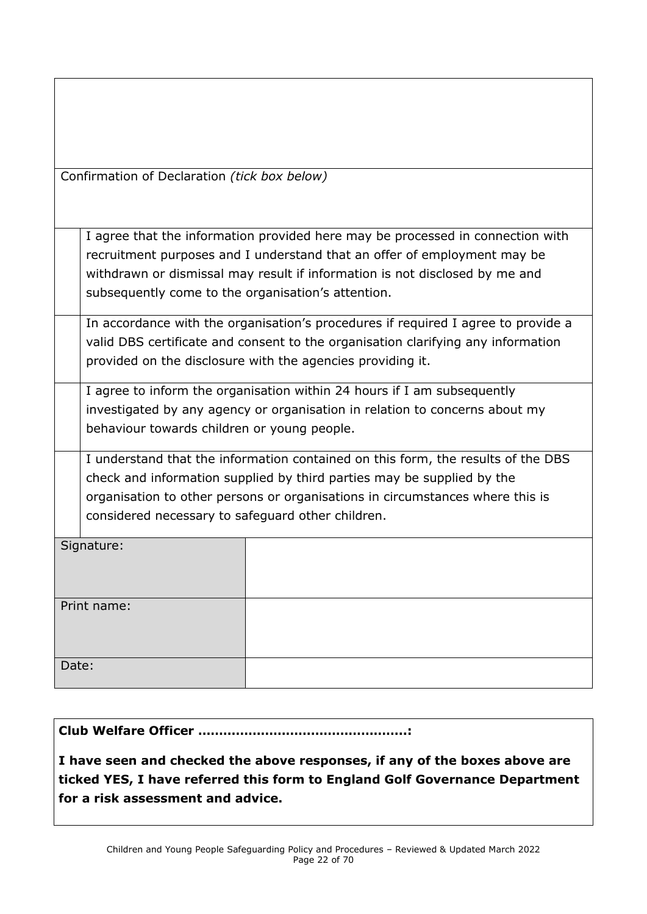|  | Confirmation of Declaration (tick box below) |  |
|--|----------------------------------------------|--|
|  |                                              |  |

I agree that the information provided here may be processed in connection with recruitment purposes and I understand that an offer of employment may be withdrawn or dismissal may result if information is not disclosed by me and subsequently come to the organisation's attention.

In accordance with the organisation's procedures if required I agree to provide a valid DBS certificate and consent to the organisation clarifying any information provided on the disclosure with the agencies providing it.

I agree to inform the organisation within 24 hours if I am subsequently investigated by any agency or organisation in relation to concerns about my behaviour towards children or young people.

I understand that the information contained on this form, the results of the DBS check and information supplied by third parties may be supplied by the organisation to other persons or organisations in circumstances where this is considered necessary to safeguard other children.

| Signature:  |  |
|-------------|--|
| Print name: |  |
| Date:       |  |

#### **Club Welfare Officer …………………………………………..:**

**I have seen and checked the above responses, if any of the boxes above are ticked YES, I have referred this form to England Golf Governance Department for a risk assessment and advice.**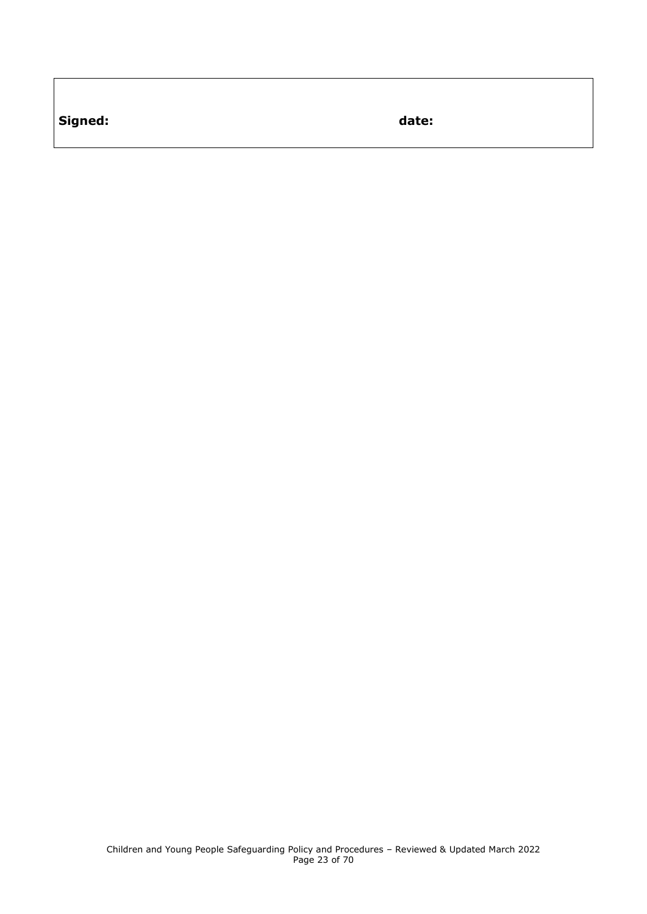**Signed: date:**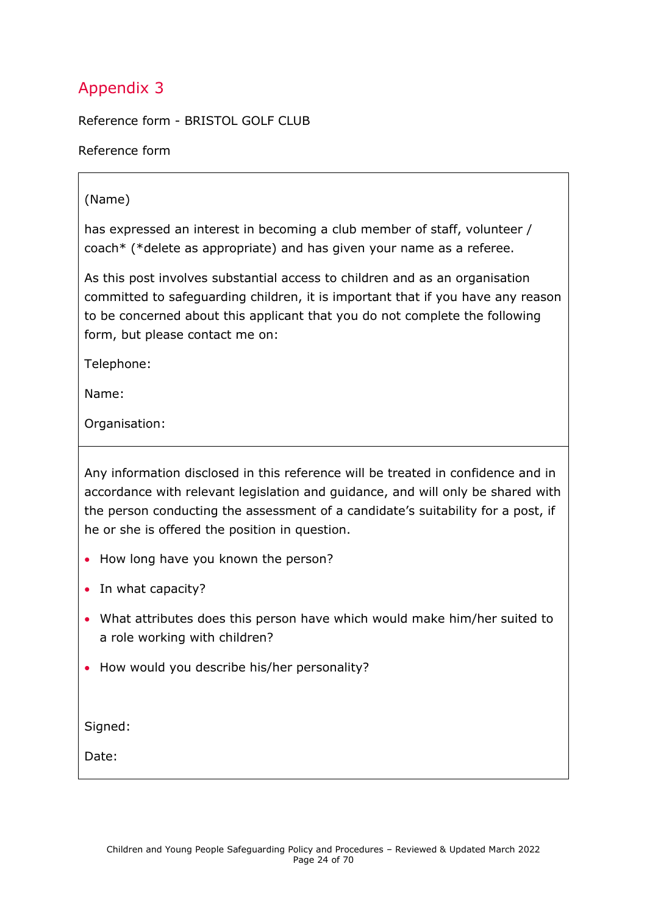<span id="page-23-0"></span>Reference form - BRISTOL GOLF CLUB

Reference form

#### (Name)

has expressed an interest in becoming a club member of staff, volunteer / coach\* (\*delete as appropriate) and has given your name as a referee.

As this post involves substantial access to children and as an organisation committed to safeguarding children, it is important that if you have any reason to be concerned about this applicant that you do not complete the following form, but please contact me on:

Telephone:

Name:

Organisation:

Any information disclosed in this reference will be treated in confidence and in accordance with relevant legislation and guidance, and will only be shared with the person conducting the assessment of a candidate's suitability for a post, if he or she is offered the position in question.

- How long have you known the person?
- In what capacity?
- What attributes does this person have which would make him/her suited to a role working with children?
- How would you describe his/her personality?

Signed:

Date: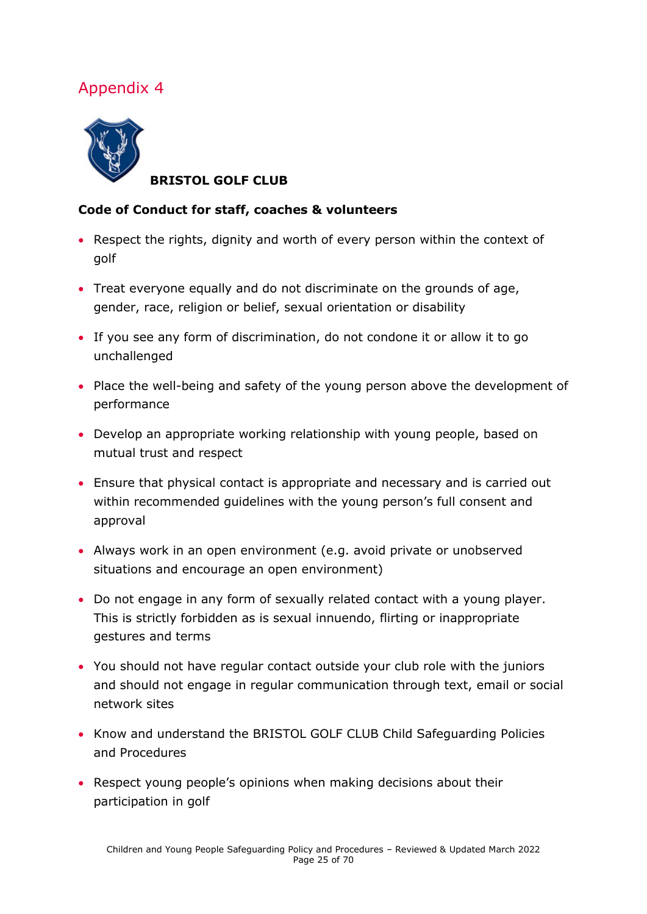<span id="page-24-0"></span>

**BRISTOL GOLF CLUB**

#### **Code of Conduct for staff, coaches & volunteers**

- Respect the rights, dignity and worth of every person within the context of golf
- Treat everyone equally and do not discriminate on the grounds of age, gender, race, religion or belief, sexual orientation or disability
- If you see any form of discrimination, do not condone it or allow it to go unchallenged
- Place the well-being and safety of the young person above the development of performance
- Develop an appropriate working relationship with young people, based on mutual trust and respect
- Ensure that physical contact is appropriate and necessary and is carried out within recommended guidelines with the young person's full consent and approval
- Always work in an open environment (e.g. avoid private or unobserved situations and encourage an open environment)
- Do not engage in any form of sexually related contact with a young player. This is strictly forbidden as is sexual innuendo, flirting or inappropriate gestures and terms
- You should not have regular contact outside your club role with the juniors and should not engage in regular communication through text, email or social network sites
- Know and understand the BRISTOL GOLF CLUB Child Safeguarding Policies and Procedures
- Respect young people's opinions when making decisions about their participation in golf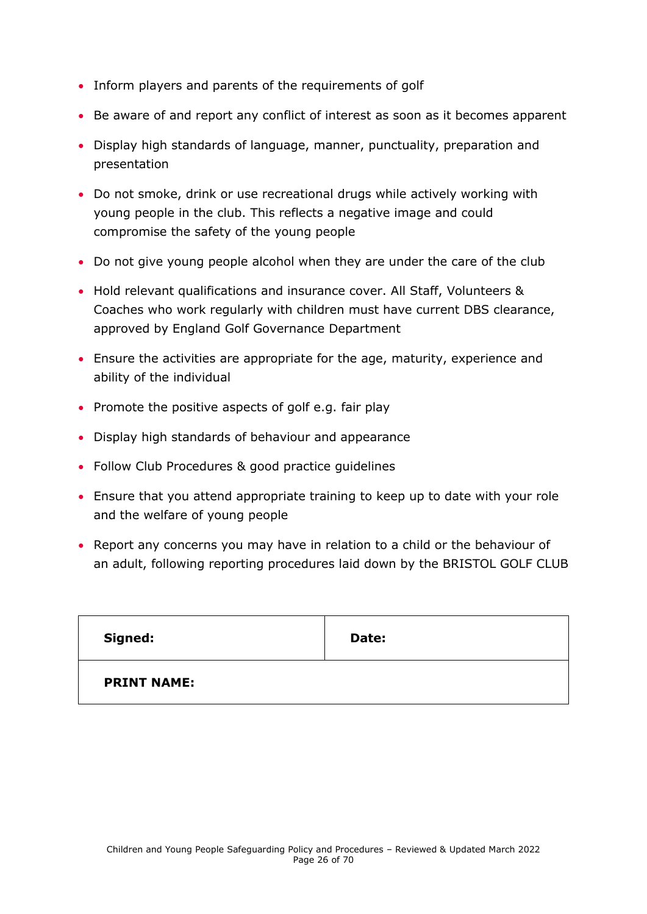- Inform players and parents of the requirements of golf
- Be aware of and report any conflict of interest as soon as it becomes apparent
- Display high standards of language, manner, punctuality, preparation and presentation
- Do not smoke, drink or use recreational drugs while actively working with young people in the club. This reflects a negative image and could compromise the safety of the young people
- Do not give young people alcohol when they are under the care of the club
- Hold relevant qualifications and insurance cover. All Staff, Volunteers & Coaches who work regularly with children must have current DBS clearance, approved by England Golf Governance Department
- Ensure the activities are appropriate for the age, maturity, experience and ability of the individual
- Promote the positive aspects of golf e.g. fair play
- Display high standards of behaviour and appearance
- Follow Club Procedures & good practice guidelines
- Ensure that you attend appropriate training to keep up to date with your role and the welfare of young people
- Report any concerns you may have in relation to a child or the behaviour of an adult, following reporting procedures laid down by the BRISTOL GOLF CLUB

| Signed:            | Date: |
|--------------------|-------|
| <b>PRINT NAME:</b> |       |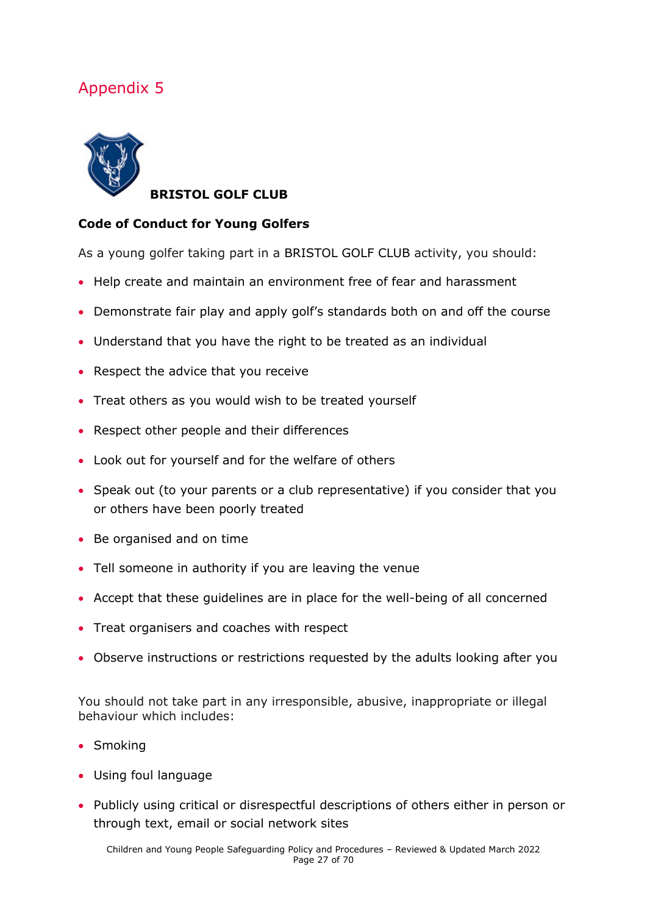<span id="page-26-0"></span>

**BRISTOL GOLF CLUB**

#### **Code of Conduct for Young Golfers**

As a young golfer taking part in a BRISTOL GOLF CLUB activity, you should:

- Help create and maintain an environment free of fear and harassment
- Demonstrate fair play and apply golf's standards both on and off the course
- Understand that you have the right to be treated as an individual
- Respect the advice that you receive
- Treat others as you would wish to be treated yourself
- Respect other people and their differences
- Look out for yourself and for the welfare of others
- Speak out (to your parents or a club representative) if you consider that you or others have been poorly treated
- Be organised and on time
- Tell someone in authority if you are leaving the venue
- Accept that these guidelines are in place for the well-being of all concerned
- Treat organisers and coaches with respect
- Observe instructions or restrictions requested by the adults looking after you

You should not take part in any irresponsible, abusive, inappropriate or illegal behaviour which includes:

- Smoking
- Using foul language
- Publicly using critical or disrespectful descriptions of others either in person or through text, email or social network sites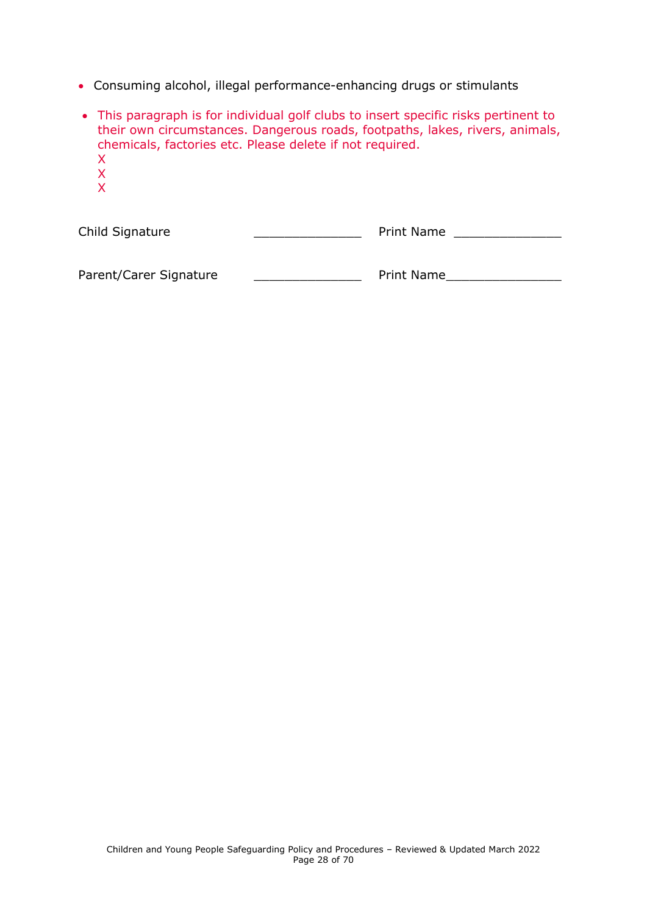- Consuming alcohol, illegal performance-enhancing drugs or stimulants
- This paragraph is for individual golf clubs to insert specific risks pertinent to their own circumstances. Dangerous roads, footpaths, lakes, rivers, animals, chemicals, factories etc. Please delete if not required. X X X

| Child Signature | <b>Print Name</b> |  |
|-----------------|-------------------|--|
|                 |                   |  |

<span id="page-27-0"></span>Parent/Carer Signature \_\_\_\_\_\_\_\_\_\_\_\_\_\_\_\_\_\_\_\_\_\_\_\_\_\_ Print Name\_\_\_\_\_\_\_\_\_\_\_\_\_\_\_\_\_\_\_\_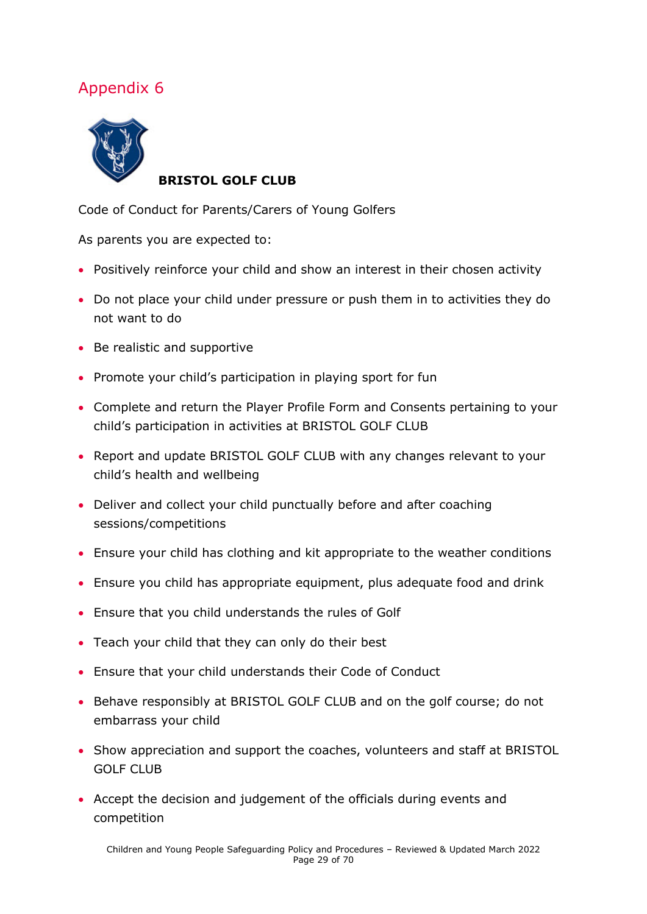

#### **BRISTOL GOLF CLUB**

Code of Conduct for Parents/Carers of Young Golfers

As parents you are expected to:

- Positively reinforce your child and show an interest in their chosen activity
- Do not place your child under pressure or push them in to activities they do not want to do
- Be realistic and supportive
- Promote your child's participation in playing sport for fun
- Complete and return the Player Profile Form and Consents pertaining to your child's participation in activities at BRISTOL GOLF CLUB
- Report and update BRISTOL GOLF CLUB with any changes relevant to your child's health and wellbeing
- Deliver and collect your child punctually before and after coaching sessions/competitions
- Ensure your child has clothing and kit appropriate to the weather conditions
- Ensure you child has appropriate equipment, plus adequate food and drink
- Ensure that you child understands the rules of Golf
- Teach your child that they can only do their best
- Ensure that your child understands their Code of Conduct
- Behave responsibly at BRISTOL GOLF CLUB and on the golf course; do not embarrass your child
- Show appreciation and support the coaches, volunteers and staff at BRISTOL GOLF CLUB
- Accept the decision and judgement of the officials during events and competition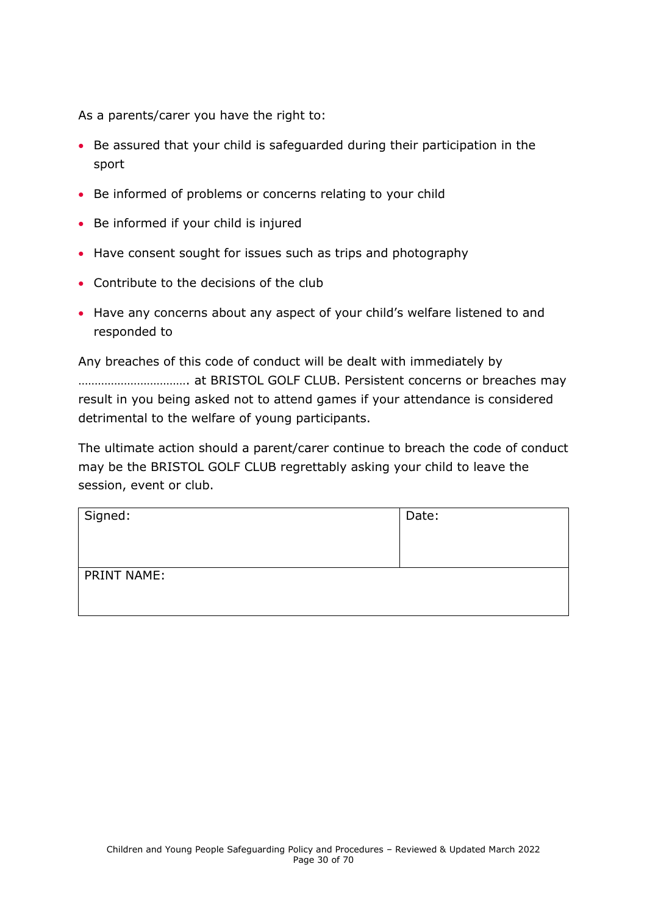As a parents/carer you have the right to:

- Be assured that your child is safeguarded during their participation in the sport
- Be informed of problems or concerns relating to your child
- Be informed if your child is injured
- Have consent sought for issues such as trips and photography
- Contribute to the decisions of the club
- Have any concerns about any aspect of your child's welfare listened to and responded to

Any breaches of this code of conduct will be dealt with immediately by ……………………………. at BRISTOL GOLF CLUB. Persistent concerns or breaches may result in you being asked not to attend games if your attendance is considered detrimental to the welfare of young participants.

The ultimate action should a parent/carer continue to breach the code of conduct may be the BRISTOL GOLF CLUB regrettably asking your child to leave the session, event or club.

| Signed:            | Date: |
|--------------------|-------|
| <b>PRINT NAME:</b> |       |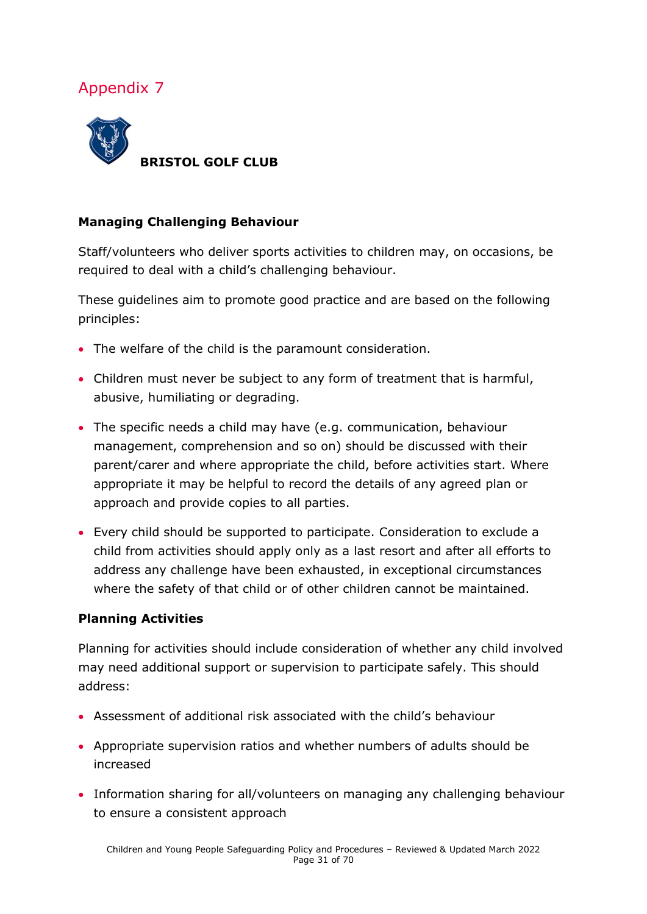

#### **Managing Challenging Behaviour**

Staff/volunteers who deliver sports activities to children may, on occasions, be required to deal with a child's challenging behaviour.

These guidelines aim to promote good practice and are based on the following principles:

- The welfare of the child is the paramount consideration.
- Children must never be subject to any form of treatment that is harmful, abusive, humiliating or degrading.
- The specific needs a child may have (e.g. communication, behaviour management, comprehension and so on) should be discussed with their parent/carer and where appropriate the child, before activities start. Where appropriate it may be helpful to record the details of any agreed plan or approach and provide copies to all parties.
- Every child should be supported to participate. Consideration to exclude a child from activities should apply only as a last resort and after all efforts to address any challenge have been exhausted, in exceptional circumstances where the safety of that child or of other children cannot be maintained.

#### **Planning Activities**

Planning for activities should include consideration of whether any child involved may need additional support or supervision to participate safely. This should address:

- Assessment of additional risk associated with the child's behaviour
- Appropriate supervision ratios and whether numbers of adults should be increased
- Information sharing for all/volunteers on managing any challenging behaviour to ensure a consistent approach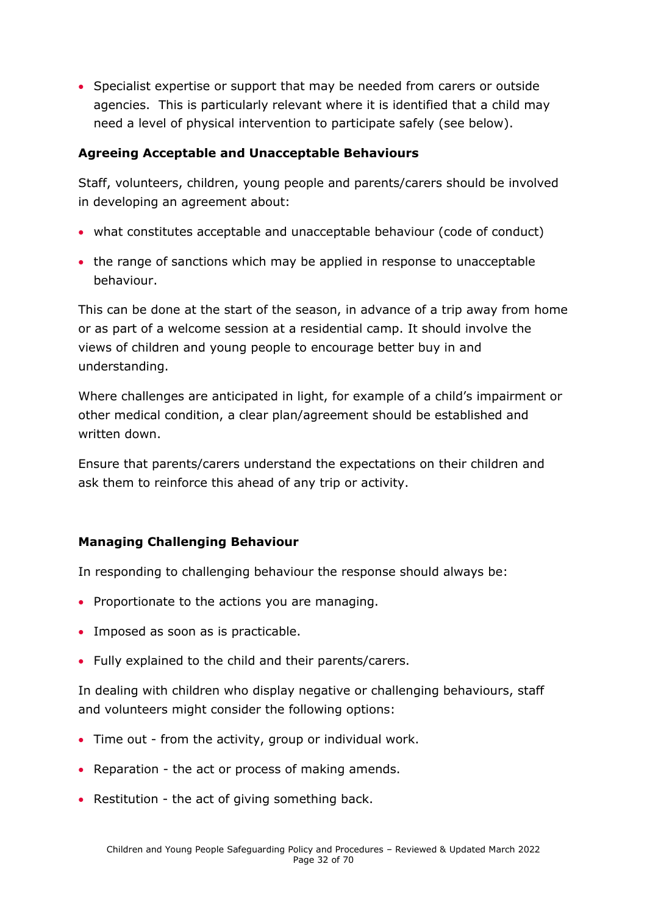• Specialist expertise or support that may be needed from carers or outside agencies. This is particularly relevant where it is identified that a child may need a level of physical intervention to participate safely (see below).

#### **Agreeing Acceptable and Unacceptable Behaviours**

Staff, volunteers, children, young people and parents/carers should be involved in developing an agreement about:

- what constitutes acceptable and unacceptable behaviour (code of conduct)
- the range of sanctions which may be applied in response to unacceptable behaviour.

This can be done at the start of the season, in advance of a trip away from home or as part of a welcome session at a residential camp. It should involve the views of children and young people to encourage better buy in and understanding.

Where challenges are anticipated in light, for example of a child's impairment or other medical condition, a clear plan/agreement should be established and written down.

Ensure that parents/carers understand the expectations on their children and ask them to reinforce this ahead of any trip or activity.

### **Managing Challenging Behaviour**

In responding to challenging behaviour the response should always be:

- Proportionate to the actions you are managing.
- Imposed as soon as is practicable.
- Fully explained to the child and their parents/carers.

In dealing with children who display negative or challenging behaviours, staff and volunteers might consider the following options:

- Time out from the activity, group or individual work.
- Reparation the act or process of making amends.
- Restitution the act of giving something back.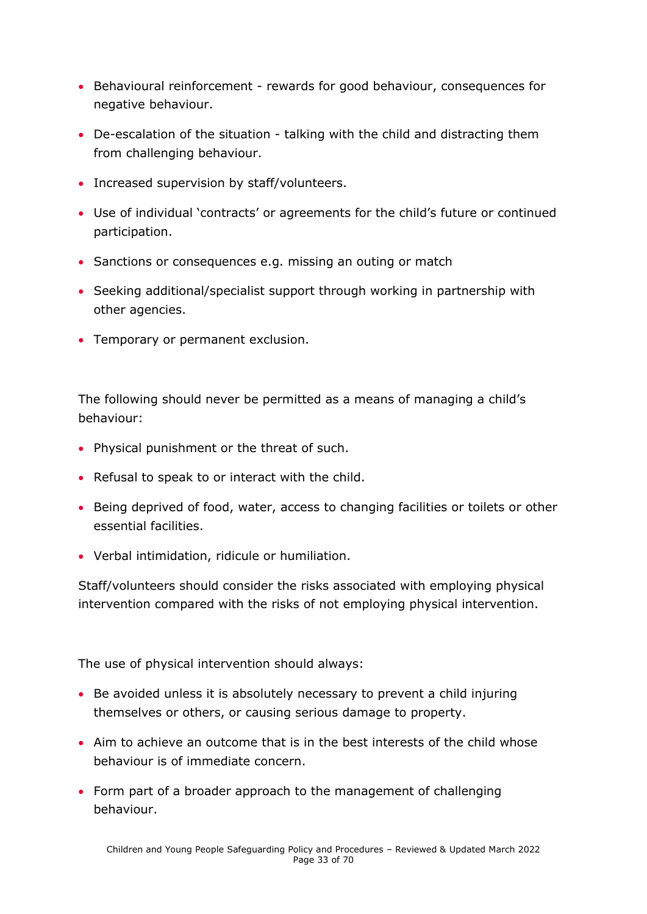- Behavioural reinforcement rewards for good behaviour, consequences for negative behaviour.
- De-escalation of the situation talking with the child and distracting them from challenging behaviour.
- Increased supervision by staff/volunteers.
- Use of individual 'contracts' or agreements for the child's future or continued participation.
- Sanctions or consequences e.g. missing an outing or match
- Seeking additional/specialist support through working in partnership with other agencies.
- Temporary or permanent exclusion.

The following should never be permitted as a means of managing a child's behaviour:

- Physical punishment or the threat of such.
- Refusal to speak to or interact with the child.
- Being deprived of food, water, access to changing facilities or toilets or other essential facilities.
- Verbal intimidation, ridicule or humiliation.

Staff/volunteers should consider the risks associated with employing physical intervention compared with the risks of not employing physical intervention.

The use of physical intervention should always:

- Be avoided unless it is absolutely necessary to prevent a child injuring themselves or others, or causing serious damage to property.
- Aim to achieve an outcome that is in the best interests of the child whose behaviour is of immediate concern.
- Form part of a broader approach to the management of challenging behaviour.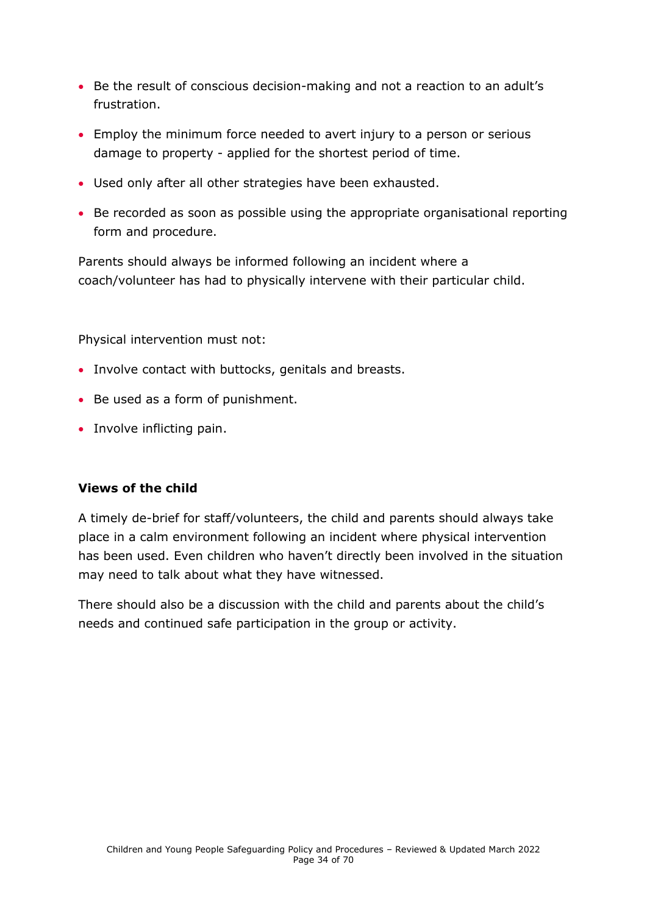- Be the result of conscious decision-making and not a reaction to an adult's frustration.
- Employ the minimum force needed to avert injury to a person or serious damage to property - applied for the shortest period of time.
- Used only after all other strategies have been exhausted.
- Be recorded as soon as possible using the appropriate organisational reporting form and procedure.

Parents should always be informed following an incident where a coach/volunteer has had to physically intervene with their particular child.

Physical intervention must not:

- Involve contact with buttocks, genitals and breasts.
- Be used as a form of punishment.
- Involve inflicting pain.

#### **Views of the child**

A timely de-brief for staff/volunteers, the child and parents should always take place in a calm environment following an incident where physical intervention has been used. Even children who haven't directly been involved in the situation may need to talk about what they have witnessed.

There should also be a discussion with the child and parents about the child's needs and continued safe participation in the group or activity.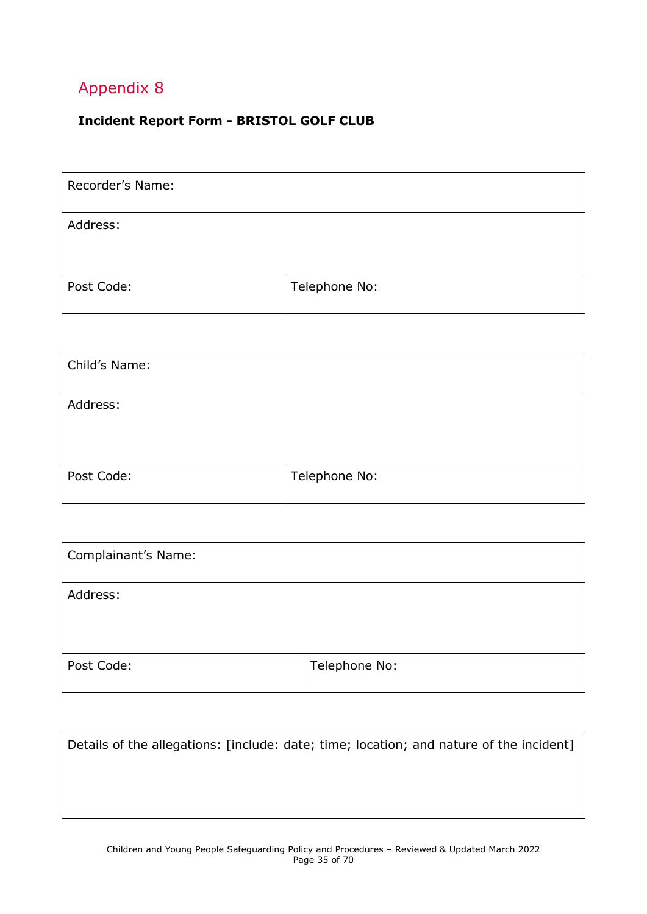### <span id="page-34-0"></span>**Incident Report Form - BRISTOL GOLF CLUB**

| Recorder's Name: |               |
|------------------|---------------|
| Address:         |               |
| Post Code:       | Telephone No: |

| Child's Name: |               |
|---------------|---------------|
| Address:      |               |
| Post Code:    | Telephone No: |

| Complainant's Name: |               |
|---------------------|---------------|
| Address:            |               |
| Post Code:          | Telephone No: |

| Details of the allegations: [include: date; time; location; and nature of the incident] |  |
|-----------------------------------------------------------------------------------------|--|
|                                                                                         |  |
|                                                                                         |  |
|                                                                                         |  |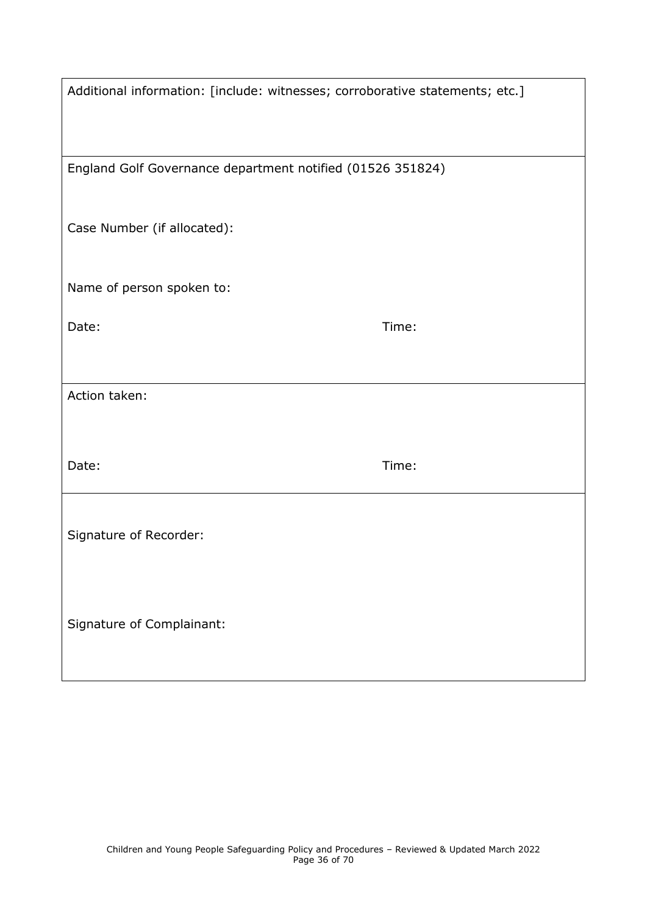| Additional information: [include: witnesses; corroborative statements; etc.] |       |  |
|------------------------------------------------------------------------------|-------|--|
| England Golf Governance department notified (01526 351824)                   |       |  |
| Case Number (if allocated):                                                  |       |  |
| Name of person spoken to:                                                    |       |  |
| Date:                                                                        | Time: |  |
| Action taken:                                                                |       |  |
|                                                                              |       |  |
| Date:                                                                        | Time: |  |
| Signature of Recorder:                                                       |       |  |
| Signature of Complainant:                                                    |       |  |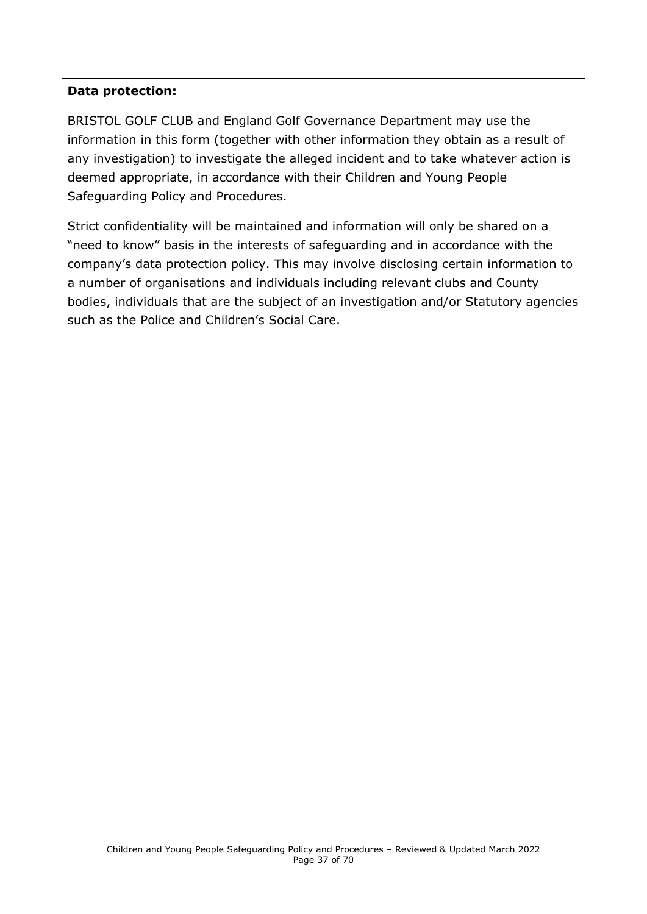#### **Data protection:**

BRISTOL GOLF CLUB and England Golf Governance Department may use the information in this form (together with other information they obtain as a result of any investigation) to investigate the alleged incident and to take whatever action is deemed appropriate, in accordance with their Children and Young People Safeguarding Policy and Procedures.

<span id="page-36-0"></span>Strict confidentiality will be maintained and information will only be shared on a "need to know" basis in the interests of safeguarding and in accordance with the company's data protection policy. This may involve disclosing certain information to a number of organisations and individuals including relevant clubs and County bodies, individuals that are the subject of an investigation and/or Statutory agencies such as the Police and Children's Social Care.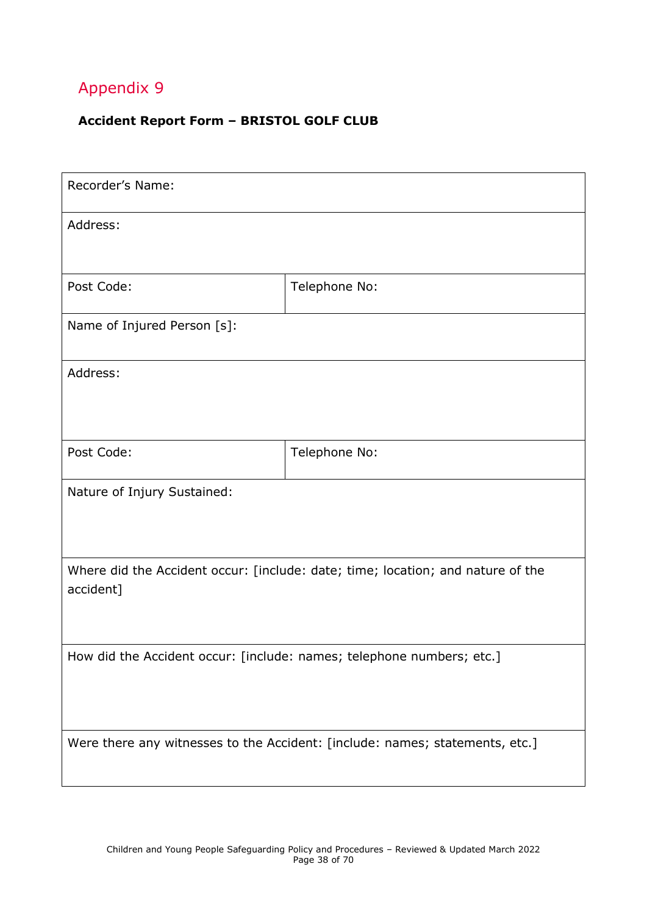### **Accident Report Form – BRISTOL GOLF CLUB**

| Recorder's Name:                                                                             |               |  |
|----------------------------------------------------------------------------------------------|---------------|--|
| Address:                                                                                     |               |  |
|                                                                                              |               |  |
| Post Code:                                                                                   | Telephone No: |  |
| Name of Injured Person [s]:                                                                  |               |  |
| Address:                                                                                     |               |  |
|                                                                                              |               |  |
| Post Code:                                                                                   | Telephone No: |  |
| Nature of Injury Sustained:                                                                  |               |  |
| Where did the Accident occur: [include: date; time; location; and nature of the<br>accident] |               |  |
| How did the Accident occur: [include: names; telephone numbers; etc.]                        |               |  |
| Were there any witnesses to the Accident: [include: names; statements, etc.]                 |               |  |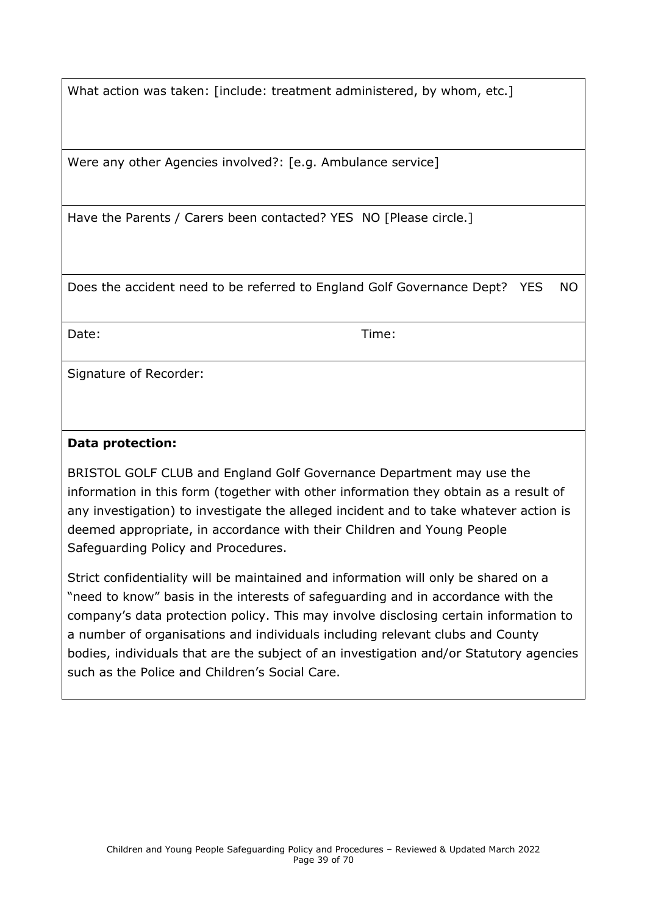What action was taken: [include: treatment administered, by whom, etc.]

Were any other Agencies involved?: [e.g. Ambulance service]

Have the Parents / Carers been contacted? YES NO [Please circle.]

Does the accident need to be referred to England Golf Governance Dept? YES NO

Date: Time:

Signature of Recorder:

#### **Data protection:**

BRISTOL GOLF CLUB and England Golf Governance Department may use the information in this form (together with other information they obtain as a result of any investigation) to investigate the alleged incident and to take whatever action is deemed appropriate, in accordance with their Children and Young People Safeguarding Policy and Procedures.

Strict confidentiality will be maintained and information will only be shared on a "need to know" basis in the interests of safeguarding and in accordance with the company's data protection policy. This may involve disclosing certain information to a number of organisations and individuals including relevant clubs and County bodies, individuals that are the subject of an investigation and/or Statutory agencies such as the Police and Children's Social Care.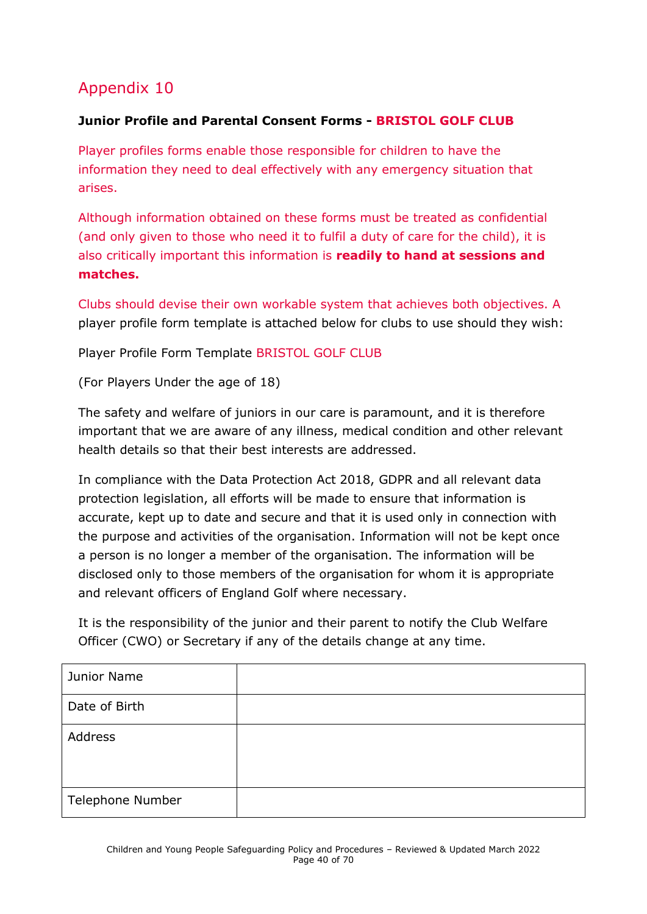### <span id="page-39-0"></span>**Junior Profile and Parental Consent Forms - BRISTOL GOLF CLUB**

Player profiles forms enable those responsible for children to have the information they need to deal effectively with any emergency situation that arises.

Although information obtained on these forms must be treated as confidential (and only given to those who need it to fulfil a duty of care for the child), it is also critically important this information is **readily to hand at sessions and matches.**

Clubs should devise their own workable system that achieves both objectives. A player profile form template is attached below for clubs to use should they wish:

Player Profile Form Template BRISTOL GOLF CLUB

(For Players Under the age of 18)

The safety and welfare of juniors in our care is paramount, and it is therefore important that we are aware of any illness, medical condition and other relevant health details so that their best interests are addressed.

In compliance with the Data Protection Act 2018, GDPR and all relevant data protection legislation, all efforts will be made to ensure that information is accurate, kept up to date and secure and that it is used only in connection with the purpose and activities of the organisation. Information will not be kept once a person is no longer a member of the organisation. The information will be disclosed only to those members of the organisation for whom it is appropriate and relevant officers of England Golf where necessary.

It is the responsibility of the junior and their parent to notify the Club Welfare Officer (CWO) or Secretary if any of the details change at any time.

| Junior Name      |  |
|------------------|--|
| Date of Birth    |  |
| Address          |  |
| Telephone Number |  |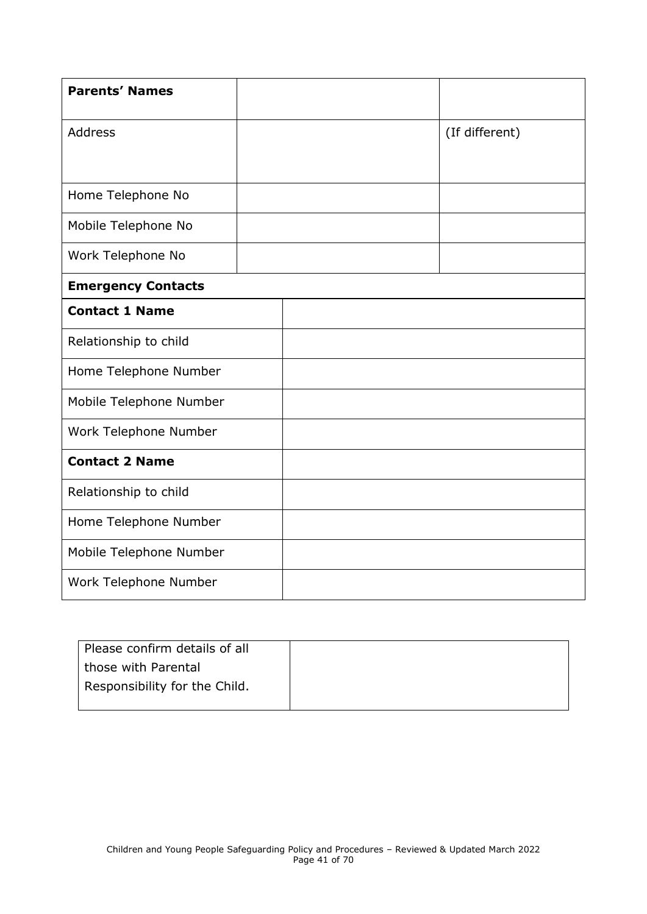| <b>Parents' Names</b>     |  |                |
|---------------------------|--|----------------|
| Address                   |  | (If different) |
|                           |  |                |
| Home Telephone No         |  |                |
| Mobile Telephone No       |  |                |
| Work Telephone No         |  |                |
| <b>Emergency Contacts</b> |  |                |
| <b>Contact 1 Name</b>     |  |                |
| Relationship to child     |  |                |
| Home Telephone Number     |  |                |
| Mobile Telephone Number   |  |                |
| Work Telephone Number     |  |                |
| <b>Contact 2 Name</b>     |  |                |
| Relationship to child     |  |                |
| Home Telephone Number     |  |                |
| Mobile Telephone Number   |  |                |
| Work Telephone Number     |  |                |

| Please confirm details of all |  |
|-------------------------------|--|
| those with Parental           |  |
| Responsibility for the Child. |  |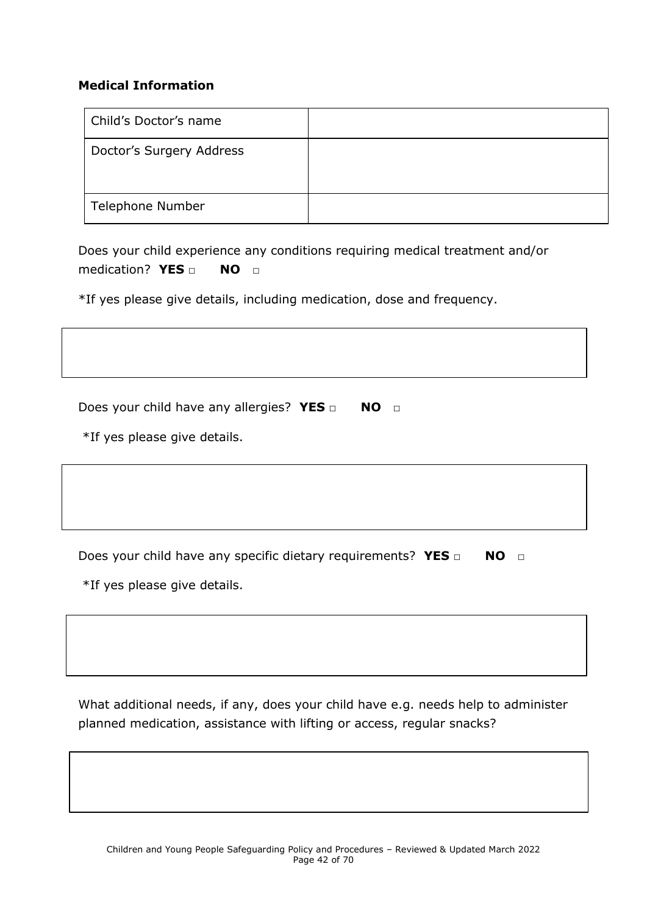#### **Medical Information**

| Child's Doctor's name    |  |
|--------------------------|--|
| Doctor's Surgery Address |  |
| Telephone Number         |  |

Does your child experience any conditions requiring medical treatment and/or medication? **YES** □ **NO** □

\*If yes please give details, including medication, dose and frequency.

Does your child have any allergies? YES □ NO □

\*If yes please give details.

Does your child have any specific dietary requirements? YES □ NO □

\*If yes please give details.

What additional needs, if any, does your child have e.g. needs help to administer planned medication, assistance with lifting or access, regular snacks?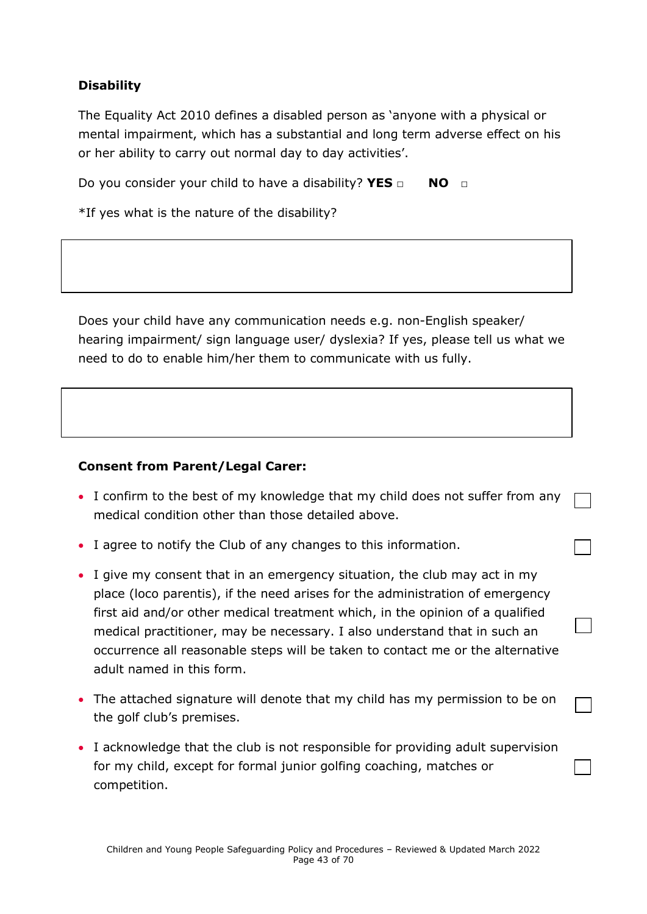### **Disability**

The Equality Act 2010 defines a disabled person as 'anyone with a physical or mental impairment, which has a substantial and long term adverse effect on his or her ability to carry out normal day to day activities'.

Do you consider your child to have a disability? **YES** □ **NO** □

\*If yes what is the nature of the disability?

Does your child have any communication needs e.g. non-English speaker/ hearing impairment/ sign language user/ dyslexia? If yes, please tell us what we need to do to enable him/her them to communicate with us fully.

#### **Consent from Parent/Legal Carer:**

- I confirm to the best of my knowledge that my child does not suffer from any medical condition other than those detailed above.
- I agree to notify the Club of any changes to this information.
- I give my consent that in an emergency situation, the club may act in my place (loco parentis), if the need arises for the administration of emergency first aid and/or other medical treatment which, in the opinion of a qualified medical practitioner, may be necessary. I also understand that in such an occurrence all reasonable steps will be taken to contact me or the alternative adult named in this form.
- The attached signature will denote that my child has my permission to be on the golf club's premises.
- I acknowledge that the club is not responsible for providing adult supervision for my child, except for formal junior golfing coaching, matches or competition.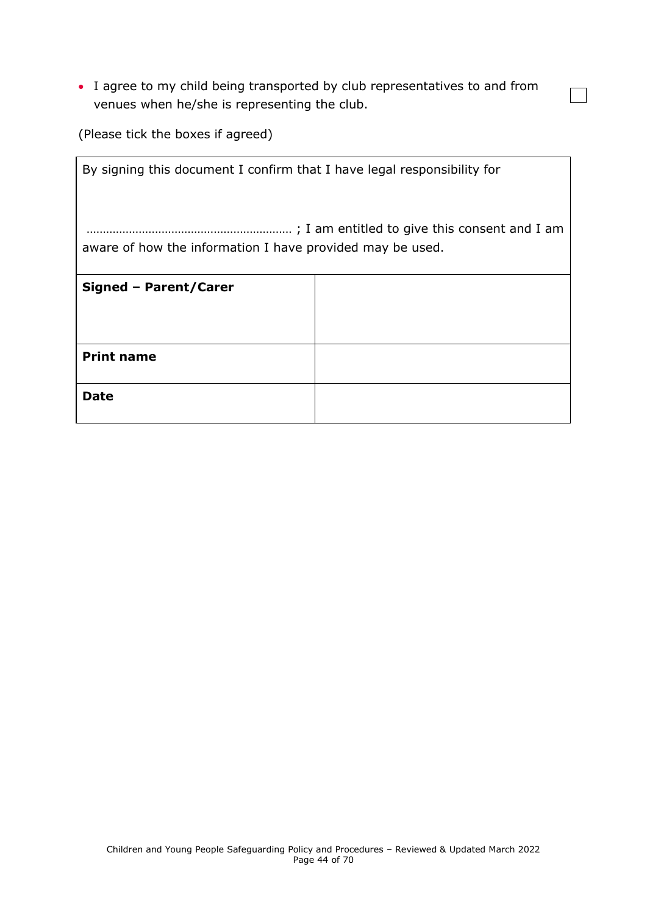• I agree to my child being transported by club representatives to and from venues when he/she is representing the club.

 $\overline{\phantom{0}}$ 

(Please tick the boxes if agreed)

| By signing this document I confirm that I have legal responsibility for |  |  |
|-------------------------------------------------------------------------|--|--|
| aware of how the information I have provided may be used.               |  |  |
| Signed - Parent/Carer                                                   |  |  |
|                                                                         |  |  |
| <b>Print name</b>                                                       |  |  |
| Date                                                                    |  |  |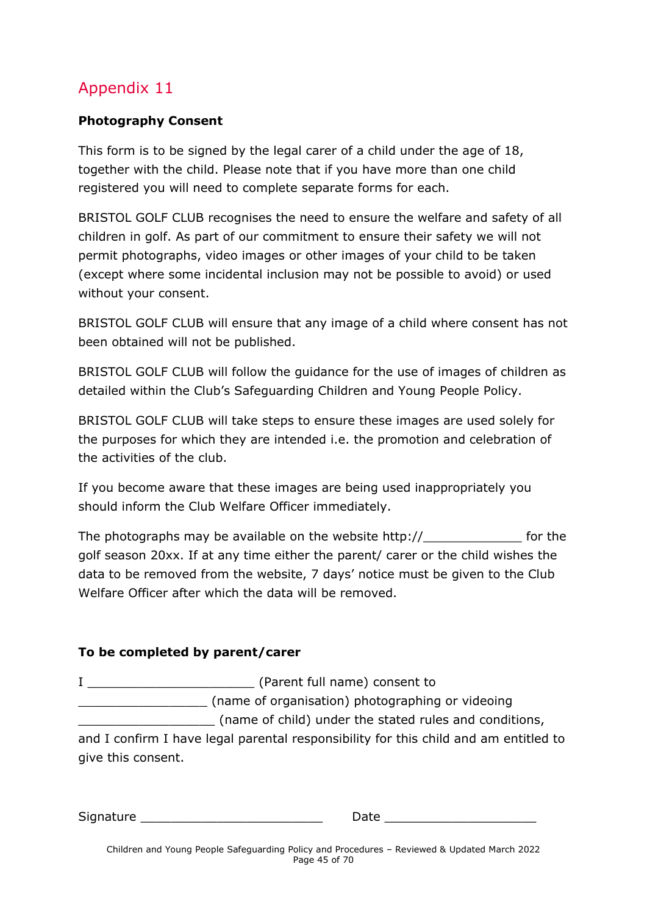#### <span id="page-44-0"></span>**Photography Consent**

This form is to be signed by the legal carer of a child under the age of 18, together with the child. Please note that if you have more than one child registered you will need to complete separate forms for each.

BRISTOL GOLF CLUB recognises the need to ensure the welfare and safety of all children in golf. As part of our commitment to ensure their safety we will not permit photographs, video images or other images of your child to be taken (except where some incidental inclusion may not be possible to avoid) or used without your consent.

BRISTOL GOLF CLUB will ensure that any image of a child where consent has not been obtained will not be published.

BRISTOL GOLF CLUB will follow the guidance for the use of images of children as detailed within the Club's Safeguarding Children and Young People Policy.

BRISTOL GOLF CLUB will take steps to ensure these images are used solely for the purposes for which they are intended i.e. the promotion and celebration of the activities of the club.

If you become aware that these images are being used inappropriately you should inform the Club Welfare Officer immediately.

The photographs may be available on the website http://\_\_\_\_\_\_\_\_\_\_\_\_\_ for the golf season 20xx. If at any time either the parent/ carer or the child wishes the data to be removed from the website, 7 days' notice must be given to the Club Welfare Officer after which the data will be removed.

#### **To be completed by parent/carer**

I consent to a large (Parent full name) consent to \_\_\_\_\_\_\_\_\_\_\_\_\_\_\_\_\_ (name of organisation) photographing or videoing \_\_\_\_\_\_\_\_\_\_\_\_\_\_\_\_\_\_ (name of child) under the stated rules and conditions, and I confirm I have legal parental responsibility for this child and am entitled to

give this consent.

| Signature |  |
|-----------|--|
|           |  |

Date  $\Box$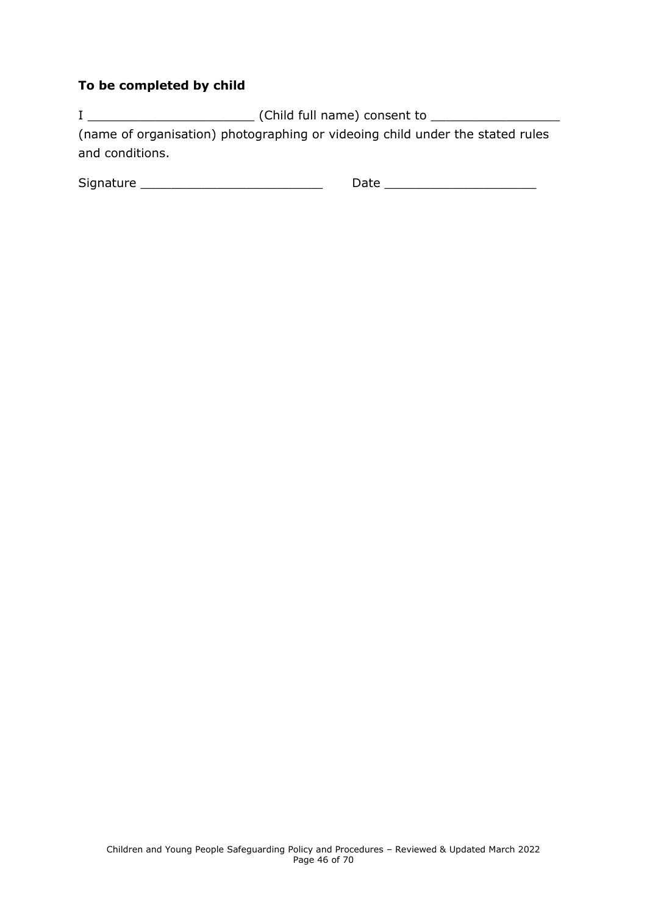#### **To be completed by child**

I \_\_\_\_\_\_\_\_\_\_\_\_\_\_\_\_\_\_\_\_\_\_ (Child full name) consent to \_\_\_\_\_\_\_\_\_\_\_\_\_\_\_\_\_ (name of organisation) photographing or videoing child under the stated rules and conditions.

<span id="page-45-0"></span>

| $\sim$<br>Signat<br>.<br>. | __ |
|----------------------------|----|
|                            |    |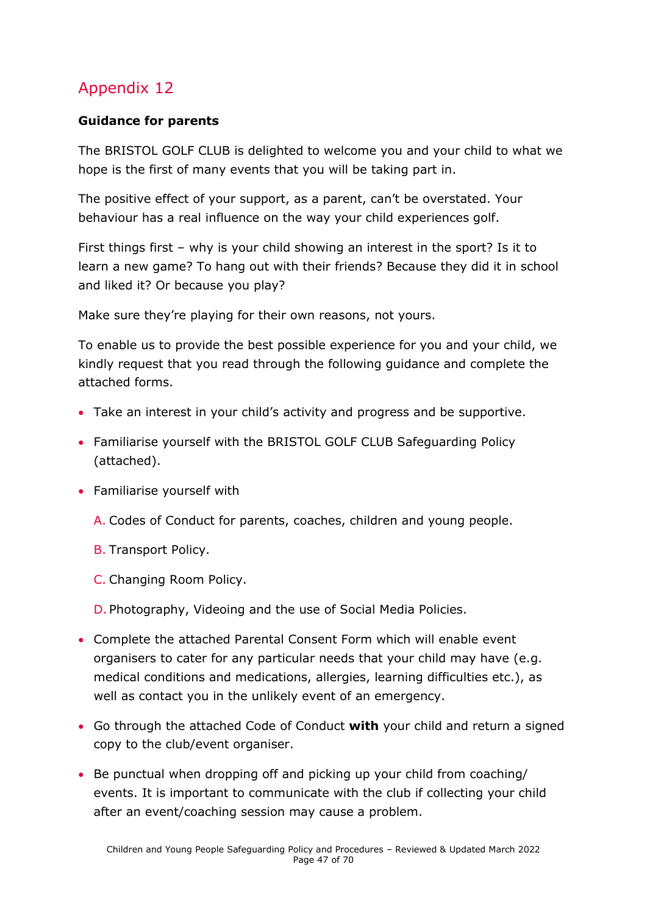### **Guidance for parents**

The BRISTOL GOLF CLUB is delighted to welcome you and your child to what we hope is the first of many events that you will be taking part in.

The positive effect of your support, as a parent, can't be overstated. Your behaviour has a real influence on the way your child experiences golf.

First things first – why is your child showing an interest in the sport? Is it to learn a new game? To hang out with their friends? Because they did it in school and liked it? Or because you play?

Make sure they're playing for their own reasons, not yours.

To enable us to provide the best possible experience for you and your child, we kindly request that you read through the following guidance and complete the attached forms.

- Take an interest in your child's activity and progress and be supportive.
- Familiarise yourself with the BRISTOL GOLF CLUB Safeguarding Policy (attached).
- Familiarise yourself with
	- A. Codes of Conduct for parents, coaches, children and young people.
	- B. Transport Policy.
	- C. Changing Room Policy.
	- D. Photography, Videoing and the use of Social Media Policies.
- Complete the attached Parental Consent Form which will enable event organisers to cater for any particular needs that your child may have (e.g. medical conditions and medications, allergies, learning difficulties etc.), as well as contact you in the unlikely event of an emergency.
- Go through the attached Code of Conduct **with** your child and return a signed copy to the club/event organiser.
- Be punctual when dropping off and picking up your child from coaching/ events. It is important to communicate with the club if collecting your child after an event/coaching session may cause a problem.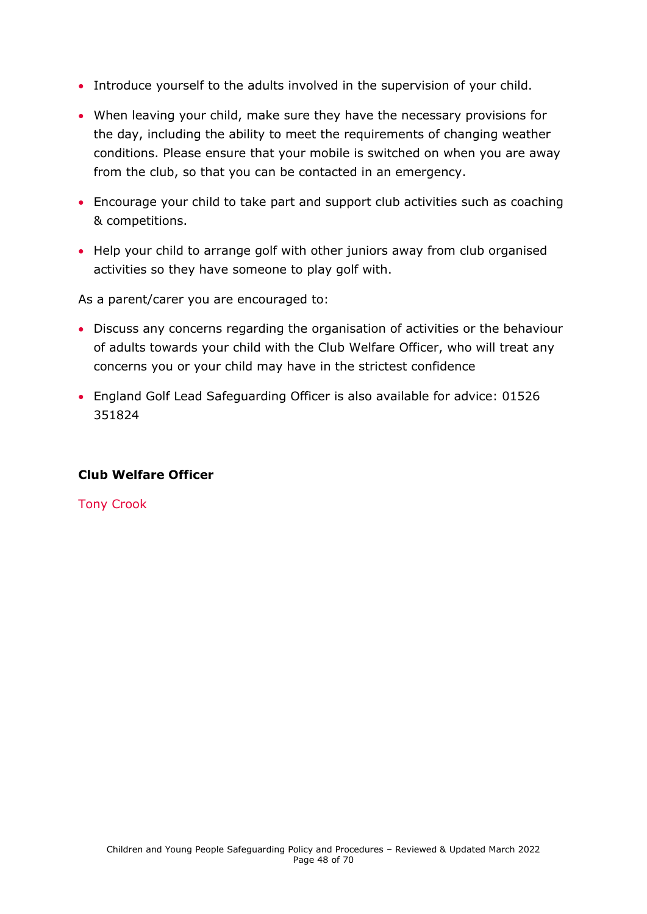- Introduce yourself to the adults involved in the supervision of your child.
- When leaving your child, make sure they have the necessary provisions for the day, including the ability to meet the requirements of changing weather conditions. Please ensure that your mobile is switched on when you are away from the club, so that you can be contacted in an emergency.
- Encourage your child to take part and support club activities such as coaching & competitions.
- Help your child to arrange golf with other juniors away from club organised activities so they have someone to play golf with.

As a parent/carer you are encouraged to:

- Discuss any concerns regarding the organisation of activities or the behaviour of adults towards your child with the Club Welfare Officer, who will treat any concerns you or your child may have in the strictest confidence
- England Golf Lead Safeguarding Officer is also available for advice: 01526 351824

#### **Club Welfare Officer**

<span id="page-47-0"></span>Tony Crook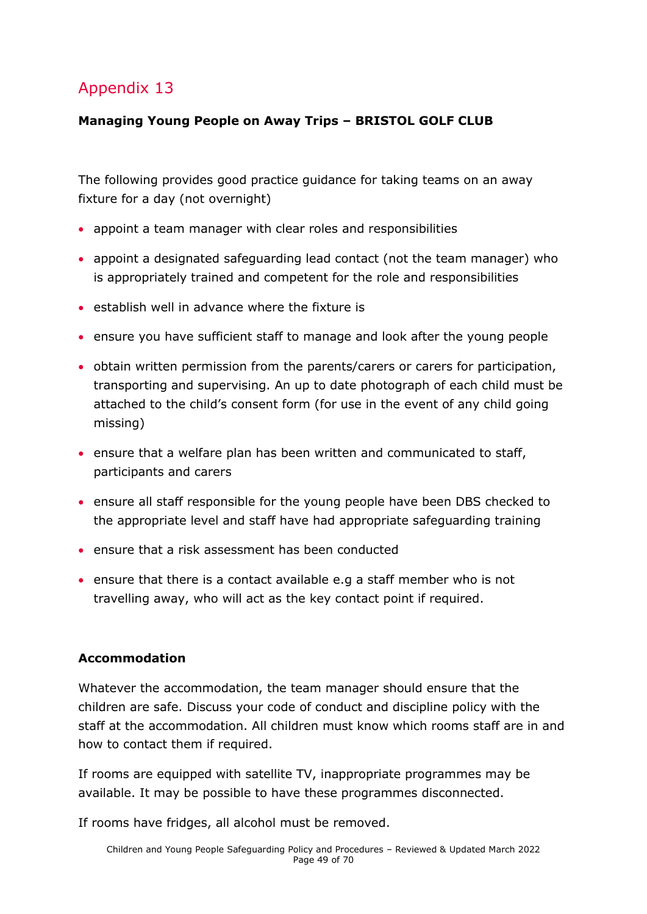### **Managing Young People on Away Trips – BRISTOL GOLF CLUB**

The following provides good practice guidance for taking teams on an away fixture for a day (not overnight)

- appoint a team manager with clear roles and responsibilities
- appoint a designated safeguarding lead contact (not the team manager) who is appropriately trained and competent for the role and responsibilities
- establish well in advance where the fixture is
- ensure you have sufficient staff to manage and look after the young people
- obtain written permission from the parents/carers or carers for participation, transporting and supervising. An up to date photograph of each child must be attached to the child's consent form (for use in the event of any child going missing)
- ensure that a welfare plan has been written and communicated to staff, participants and carers
- ensure all staff responsible for the young people have been DBS checked to the appropriate level and staff have had appropriate safeguarding training
- ensure that a risk assessment has been conducted
- ensure that there is a contact available e.g a staff member who is not travelling away, who will act as the key contact point if required.

### **Accommodation**

Whatever the accommodation, the team manager should ensure that the children are safe. Discuss your code of conduct and discipline policy with the staff at the accommodation. All children must know which rooms staff are in and how to contact them if required.

If rooms are equipped with satellite TV, inappropriate programmes may be available. It may be possible to have these programmes disconnected.

If rooms have fridges, all alcohol must be removed.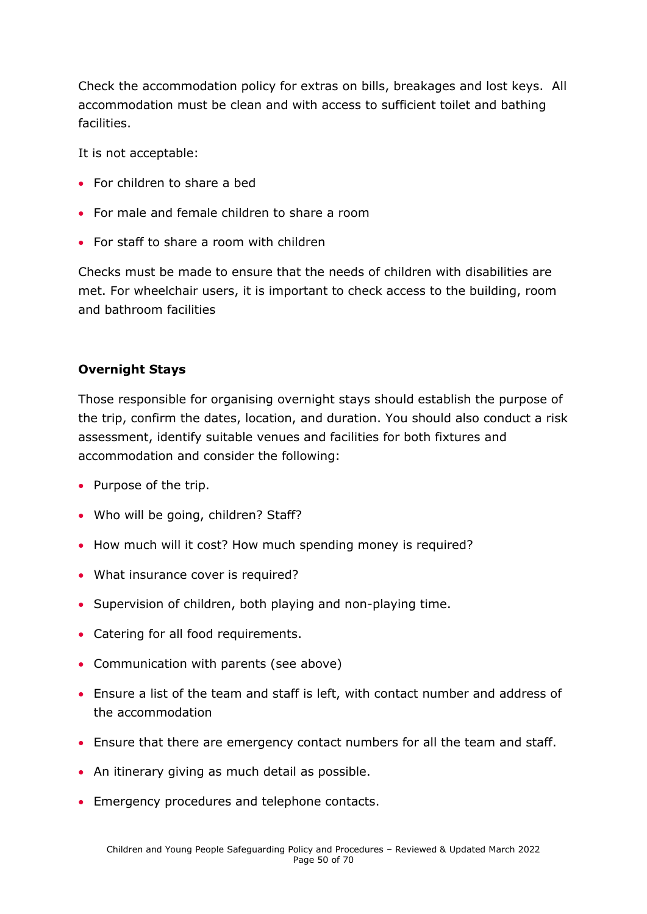Check the accommodation policy for extras on bills, breakages and lost keys. All accommodation must be clean and with access to sufficient toilet and bathing facilities.

It is not acceptable:

- For children to share a bed
- For male and female children to share a room
- For staff to share a room with children

Checks must be made to ensure that the needs of children with disabilities are met. For wheelchair users, it is important to check access to the building, room and bathroom facilities

#### **Overnight Stays**

Those responsible for organising overnight stays should establish the purpose of the trip, confirm the dates, location, and duration. You should also conduct a risk assessment, identify suitable venues and facilities for both fixtures and accommodation and consider the following:

- Purpose of the trip.
- Who will be going, children? Staff?
- How much will it cost? How much spending money is required?
- What insurance cover is required?
- Supervision of children, both playing and non-playing time.
- Catering for all food requirements.
- Communication with parents (see above)
- Ensure a list of the team and staff is left, with contact number and address of the accommodation
- Ensure that there are emergency contact numbers for all the team and staff.
- An itinerary giving as much detail as possible.
- Emergency procedures and telephone contacts.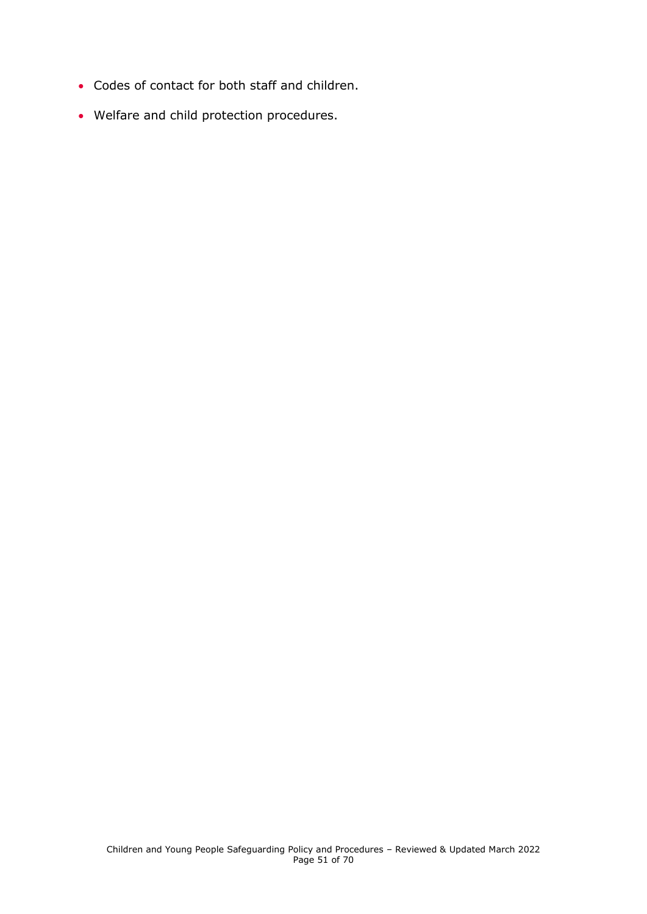- Codes of contact for both staff and children.
- <span id="page-50-0"></span>• Welfare and child protection procedures.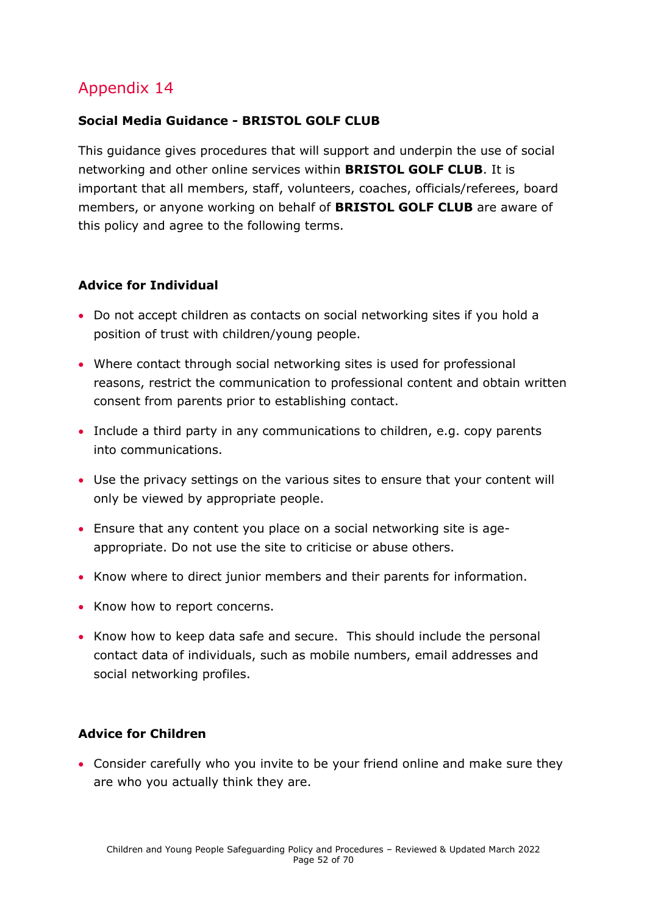#### **Social Media Guidance - BRISTOL GOLF CLUB**

This guidance gives procedures that will support and underpin the use of social networking and other online services within **BRISTOL GOLF CLUB**. It is important that all members, staff, volunteers, coaches, officials/referees, board members, or anyone working on behalf of **BRISTOL GOLF CLUB** are aware of this policy and agree to the following terms.

#### **Advice for Individual**

- Do not accept children as contacts on social networking sites if you hold a position of trust with children/young people.
- Where contact through social networking sites is used for professional reasons, restrict the communication to professional content and obtain written consent from parents prior to establishing contact.
- Include a third party in any communications to children, e.g. copy parents into communications.
- Use the privacy settings on the various sites to ensure that your content will only be viewed by appropriate people.
- Ensure that any content you place on a social networking site is ageappropriate. Do not use the site to criticise or abuse others.
- Know where to direct junior members and their parents for information.
- Know how to report concerns.
- Know how to keep data safe and secure. This should include the personal contact data of individuals, such as mobile numbers, email addresses and social networking profiles.

#### **Advice for Children**

• Consider carefully who you invite to be your friend online and make sure they are who you actually think they are.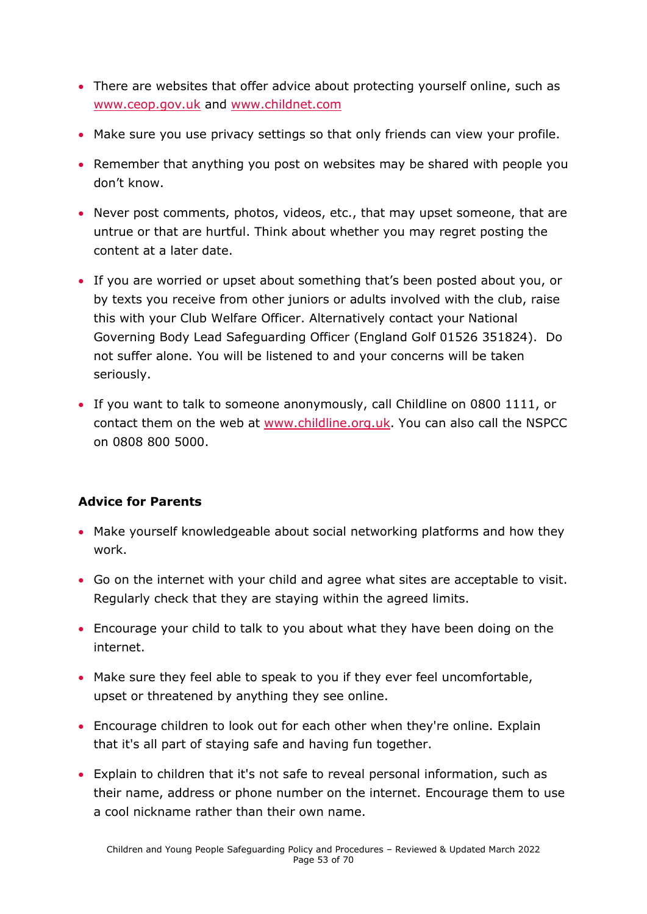- There are websites that offer advice about protecting yourself online, such as [www.ceop.gov.uk](http://www.ceop.gov.uk/) and [www.childnet.com](http://www.childnet.com/)
- Make sure you use privacy settings so that only friends can view your profile.
- Remember that anything you post on websites may be shared with people you don't know.
- Never post comments, photos, videos, etc., that may upset someone, that are untrue or that are hurtful. Think about whether you may regret posting the content at a later date.
- If you are worried or upset about something that's been posted about you, or by texts you receive from other juniors or adults involved with the club, raise this with your Club Welfare Officer. Alternatively contact your National Governing Body Lead Safeguarding Officer (England Golf 01526 351824). Do not suffer alone. You will be listened to and your concerns will be taken seriously.
- If you want to talk to someone anonymously, call Childline on 0800 1111, or contact them on the web at [www.childline.org.uk.](http://www.childline.org.uk/) You can also call the NSPCC on 0808 800 5000.

#### **Advice for Parents**

- Make yourself knowledgeable about social networking platforms and how they work.
- Go on the internet with your child and agree what sites are acceptable to visit. Regularly check that they are staying within the agreed limits.
- Encourage your child to talk to you about what they have been doing on the internet.
- Make sure they feel able to speak to you if they ever feel uncomfortable, upset or threatened by anything they see online.
- Encourage children to look out for each other when they're online. Explain that it's all part of staying safe and having fun together.
- Explain to children that it's not safe to reveal personal information, such as their name, address or phone number on the internet. Encourage them to use a cool nickname rather than their own name.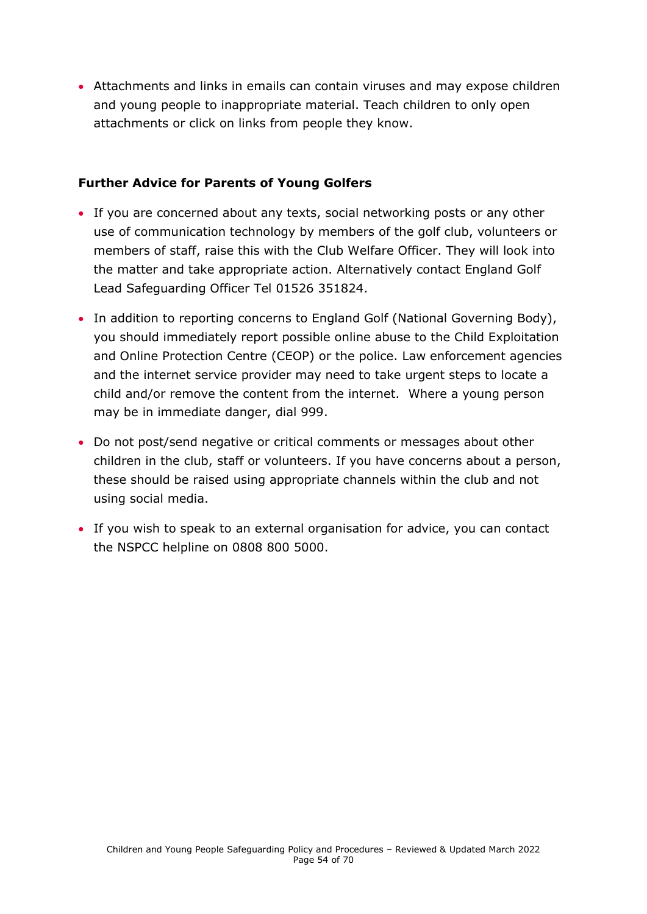• Attachments and links in emails can contain viruses and may expose children and young people to inappropriate material. Teach children to only open attachments or click on links from people they know.

#### **Further Advice for Parents of Young Golfers**

- If you are concerned about any texts, social networking posts or any other use of communication technology by members of the golf club, volunteers or members of staff, raise this with the Club Welfare Officer. They will look into the matter and take appropriate action. Alternatively contact England Golf Lead Safeguarding Officer Tel 01526 351824.
- In addition to reporting concerns to England Golf (National Governing Body), you should immediately report possible online abuse to the Child Exploitation and Online Protection Centre (CEOP) or the police. Law enforcement agencies and the internet service provider may need to take urgent steps to locate a child and/or remove the content from the internet. Where a young person may be in immediate danger, dial 999.
- Do not post/send negative or critical comments or messages about other children in the club, staff or volunteers. If you have concerns about a person, these should be raised using appropriate channels within the club and not using social media.
- <span id="page-53-0"></span>• If you wish to speak to an external organisation for advice, you can contact the NSPCC helpline on 0808 800 5000.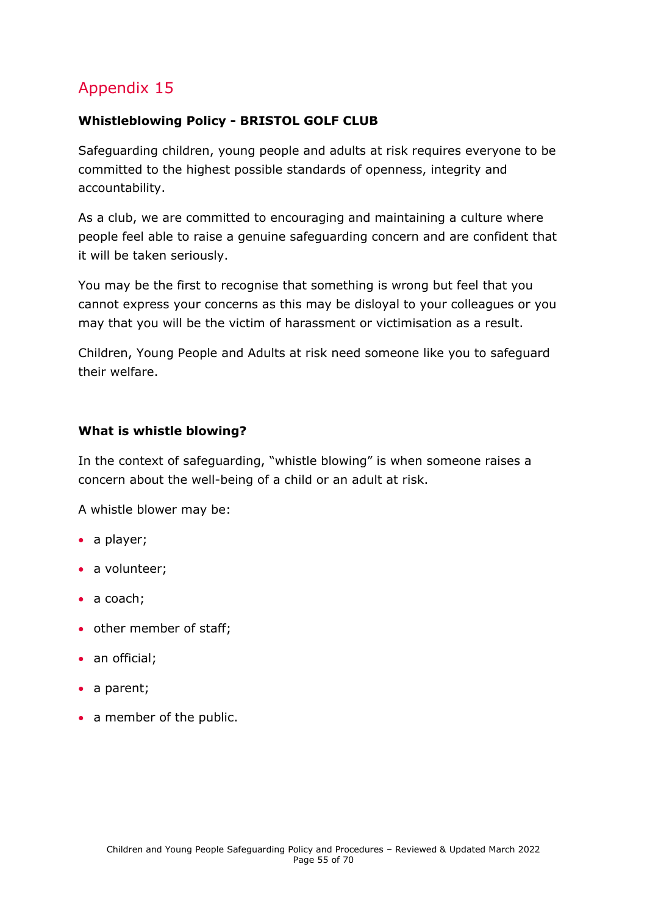### **Whistleblowing Policy - BRISTOL GOLF CLUB**

Safeguarding children, young people and adults at risk requires everyone to be committed to the highest possible standards of openness, integrity and accountability.

As a club, we are committed to encouraging and maintaining a culture where people feel able to raise a genuine safeguarding concern and are confident that it will be taken seriously.

You may be the first to recognise that something is wrong but feel that you cannot express your concerns as this may be disloyal to your colleagues or you may that you will be the victim of harassment or victimisation as a result.

Children, Young People and Adults at risk need someone like you to safeguard their welfare.

#### **What is whistle blowing?**

In the context of safeguarding, "whistle blowing" is when someone raises a concern about the well-being of a child or an adult at risk.

A whistle blower may be:

- a player;
- a volunteer;
- a coach;
- other member of staff;
- an official;
- a parent;
- a member of the public.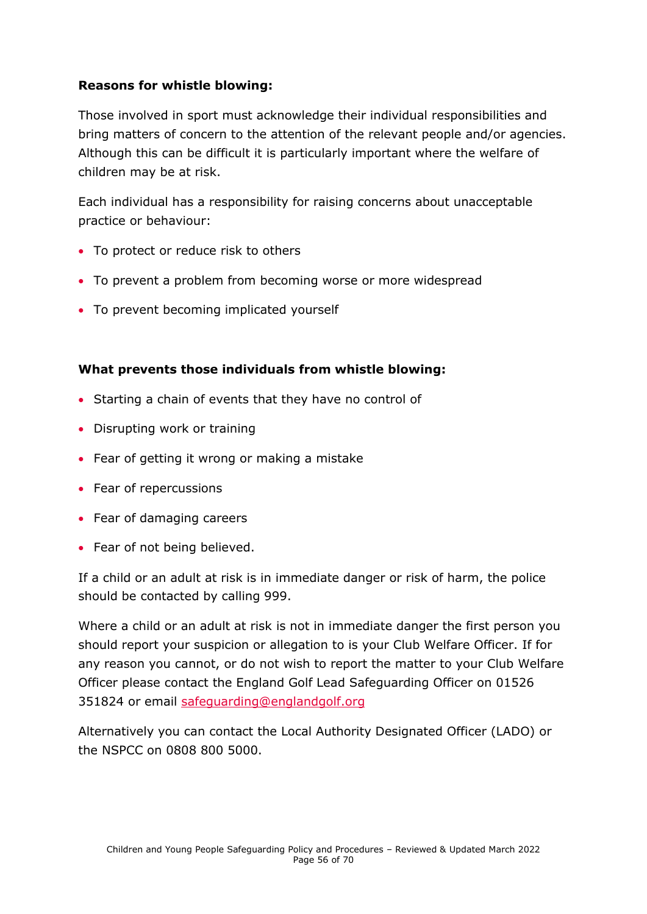#### **Reasons for whistle blowing:**

Those involved in sport must acknowledge their individual responsibilities and bring matters of concern to the attention of the relevant people and/or agencies. Although this can be difficult it is particularly important where the welfare of children may be at risk.

Each individual has a responsibility for raising concerns about unacceptable practice or behaviour:

- To protect or reduce risk to others
- To prevent a problem from becoming worse or more widespread
- To prevent becoming implicated yourself

### **What prevents those individuals from whistle blowing:**

- Starting a chain of events that they have no control of
- Disrupting work or training
- Fear of getting it wrong or making a mistake
- Fear of repercussions
- Fear of damaging careers
- Fear of not being believed.

If a child or an adult at risk is in immediate danger or risk of harm, the police should be contacted by calling 999.

Where a child or an adult at risk is not in immediate danger the first person you should report your suspicion or allegation to is your Club Welfare Officer. If for any reason you cannot, or do not wish to report the matter to your Club Welfare Officer please contact the England Golf Lead Safeguarding Officer on 01526 351824 or email [safeguarding@englandgolf.org](mailto:safeguarding@englandgolf.org)

Alternatively you can contact the Local Authority Designated Officer (LADO) or the NSPCC on 0808 800 5000.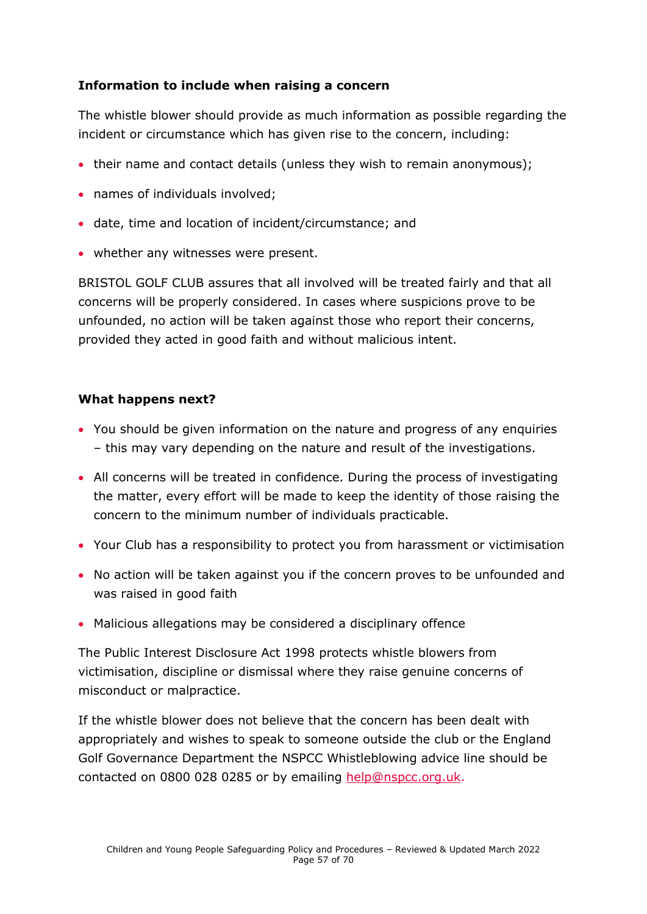#### **Information to include when raising a concern**

The whistle blower should provide as much information as possible regarding the incident or circumstance which has given rise to the concern, including:

- their name and contact details (unless they wish to remain anonymous);
- names of individuals involved;
- date, time and location of incident/circumstance; and
- whether any witnesses were present.

BRISTOL GOLF CLUB assures that all involved will be treated fairly and that all concerns will be properly considered. In cases where suspicions prove to be unfounded, no action will be taken against those who report their concerns, provided they acted in good faith and without malicious intent.

#### **What happens next?**

- You should be given information on the nature and progress of any enquiries – this may vary depending on the nature and result of the investigations.
- All concerns will be treated in confidence. During the process of investigating the matter, every effort will be made to keep the identity of those raising the concern to the minimum number of individuals practicable.
- Your Club has a responsibility to protect you from harassment or victimisation
- No action will be taken against you if the concern proves to be unfounded and was raised in good faith
- Malicious allegations may be considered a disciplinary offence

The Public Interest Disclosure Act 1998 protects whistle blowers from victimisation, discipline or dismissal where they raise genuine concerns of misconduct or malpractice.

If the whistle blower does not believe that the concern has been dealt with appropriately and wishes to speak to someone outside the club or the England Golf Governance Department the NSPCC Whistleblowing advice line should be contacted on 0800 028 0285 or by emailing [help@nspcc.org.uk.](mailto:help@nspcc.org.uk)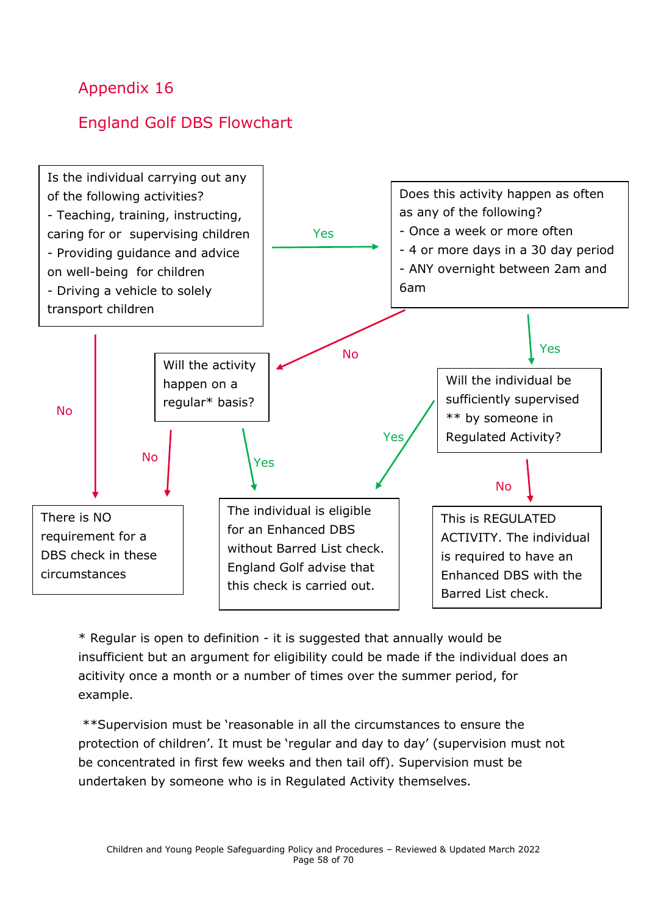# <span id="page-57-0"></span>England Golf DBS Flowchart



\* Regular is open to definition - it is suggested that annually would be insufficient but an argument for eligibility could be made if the individual does an acitivity once a month or a number of times over the summer period, for example.

\*\*Supervision must be 'reasonable in all the circumstances to ensure the protection of children'. It must be 'regular and day to day' (supervision must not be concentrated in first few weeks and then tail off). Supervision must be undertaken by someone who is in Regulated Activity themselves.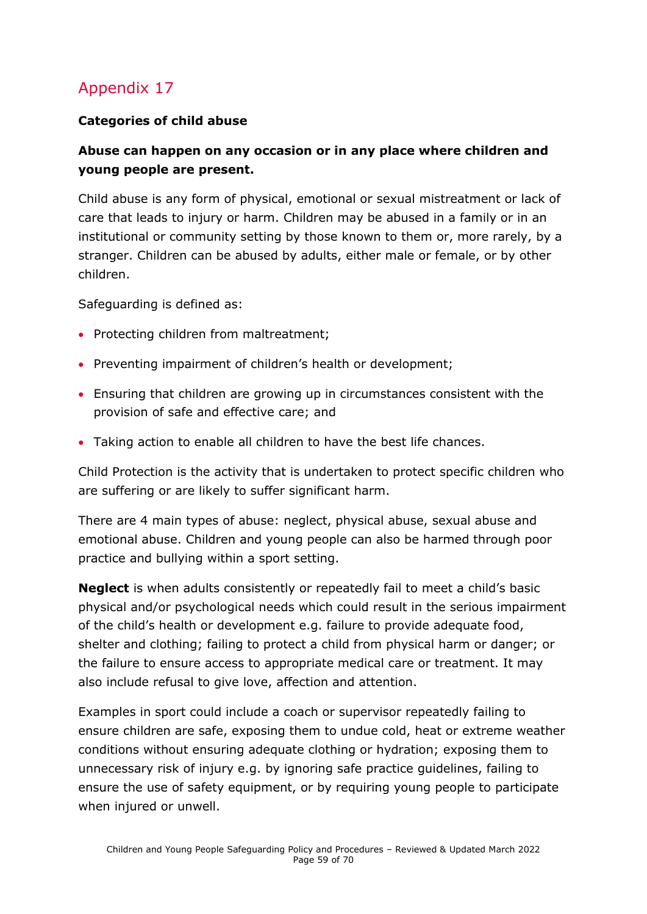### **Categories of child abuse**

### **Abuse can happen on any occasion or in any place where children and young people are present.**

Child abuse is any form of physical, emotional or sexual mistreatment or lack of care that leads to injury or harm. Children may be abused in a family or in an institutional or community setting by those known to them or, more rarely, by a stranger. Children can be abused by adults, either male or female, or by other children.

Safeguarding is defined as:

- Protecting children from maltreatment;
- Preventing impairment of children's health or development;
- Ensuring that children are growing up in circumstances consistent with the provision of safe and effective care; and
- Taking action to enable all children to have the best life chances.

Child Protection is the activity that is undertaken to protect specific children who are suffering or are likely to suffer significant harm.

There are 4 main types of abuse: neglect, physical abuse, sexual abuse and emotional abuse. Children and young people can also be harmed through poor practice and bullying within a sport setting.

**Neglect** is when adults consistently or repeatedly fail to meet a child's basic physical and/or psychological needs which could result in the serious impairment of the child's health or development e.g. failure to provide adequate food, shelter and clothing; failing to protect a child from physical harm or danger; or the failure to ensure access to appropriate medical care or treatment. It may also include refusal to give love, affection and attention.

Examples in sport could include a coach or supervisor repeatedly failing to ensure children are safe, exposing them to undue cold, heat or extreme weather conditions without ensuring adequate clothing or hydration; exposing them to unnecessary risk of injury e.g. by ignoring safe practice guidelines, failing to ensure the use of safety equipment, or by requiring young people to participate when injured or unwell.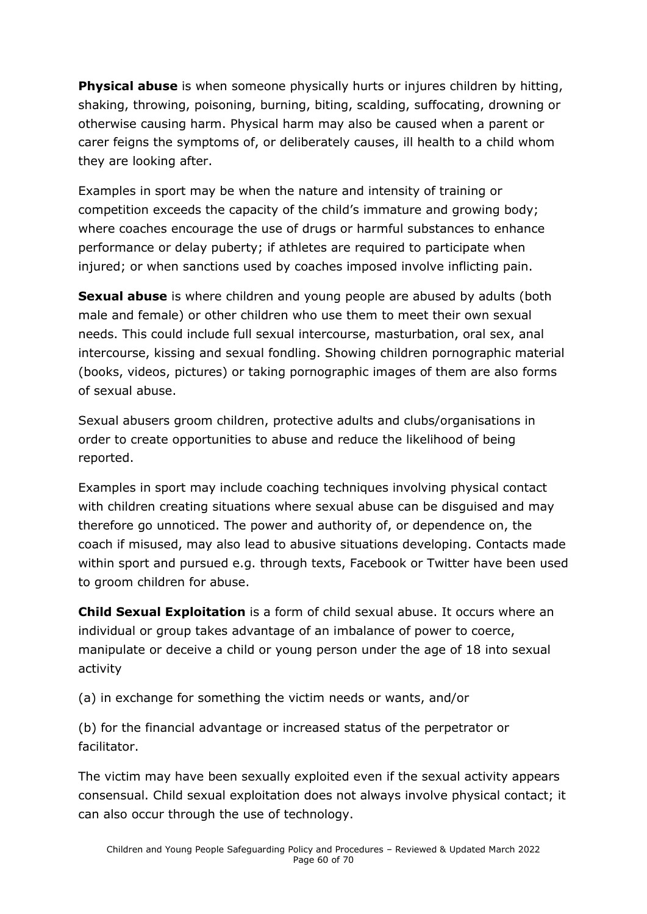**Physical abuse** is when someone physically hurts or injures children by hitting, shaking, throwing, poisoning, burning, biting, scalding, suffocating, drowning or otherwise causing harm. Physical harm may also be caused when a parent or carer feigns the symptoms of, or deliberately causes, ill health to a child whom they are looking after.

Examples in sport may be when the nature and intensity of training or competition exceeds the capacity of the child's immature and growing body; where coaches encourage the use of drugs or harmful substances to enhance performance or delay puberty; if athletes are required to participate when injured; or when sanctions used by coaches imposed involve inflicting pain.

**Sexual abuse** is where children and young people are abused by adults (both male and female) or other children who use them to meet their own sexual needs. This could include full sexual intercourse, masturbation, oral sex, anal intercourse, kissing and sexual fondling. Showing children pornographic material (books, videos, pictures) or taking pornographic images of them are also forms of sexual abuse.

Sexual abusers groom children, protective adults and clubs/organisations in order to create opportunities to abuse and reduce the likelihood of being reported.

Examples in sport may include coaching techniques involving physical contact with children creating situations where sexual abuse can be disguised and may therefore go unnoticed. The power and authority of, or dependence on, the coach if misused, may also lead to abusive situations developing. Contacts made within sport and pursued e.g. through texts, Facebook or Twitter have been used to groom children for abuse.

**Child Sexual Exploitation** is a form of child sexual abuse. It occurs where an individual or group takes advantage of an imbalance of power to coerce, manipulate or deceive a child or young person under the age of 18 into sexual activity

(a) in exchange for something the victim needs or wants, and/or

(b) for the financial advantage or increased status of the perpetrator or facilitator.

The victim may have been sexually exploited even if the sexual activity appears consensual. Child sexual exploitation does not always involve physical contact; it can also occur through the use of technology.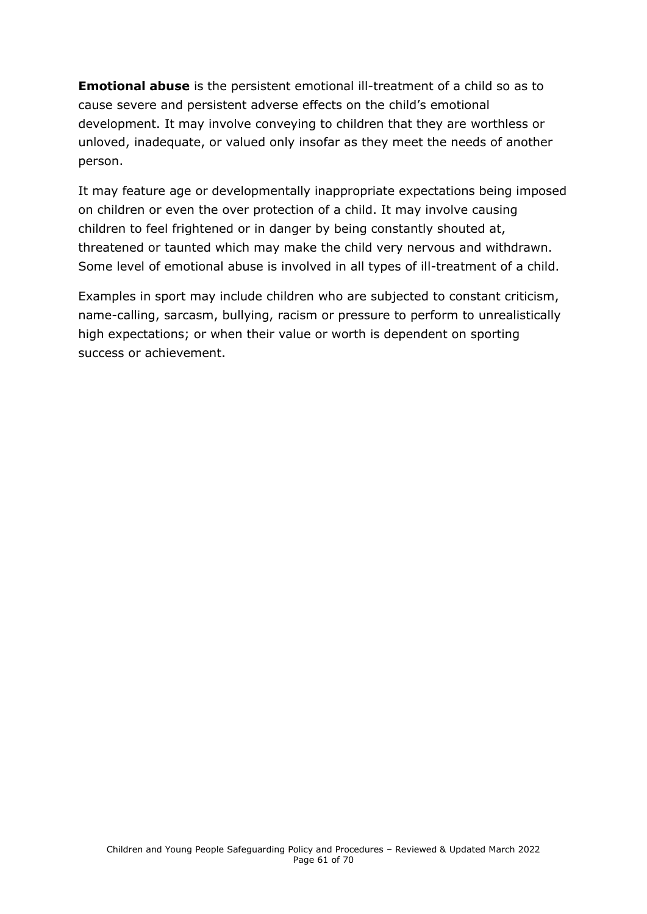**Emotional abuse** is the persistent emotional ill-treatment of a child so as to cause severe and persistent adverse effects on the child's emotional development. It may involve conveying to children that they are worthless or unloved, inadequate, or valued only insofar as they meet the needs of another person.

It may feature age or developmentally inappropriate expectations being imposed on children or even the over protection of a child. It may involve causing children to feel frightened or in danger by being constantly shouted at, threatened or taunted which may make the child very nervous and withdrawn. Some level of emotional abuse is involved in all types of ill-treatment of a child.

Examples in sport may include children who are subjected to constant criticism, name-calling, sarcasm, bullying, racism or pressure to perform to unrealistically high expectations; or when their value or worth is dependent on sporting success or achievement.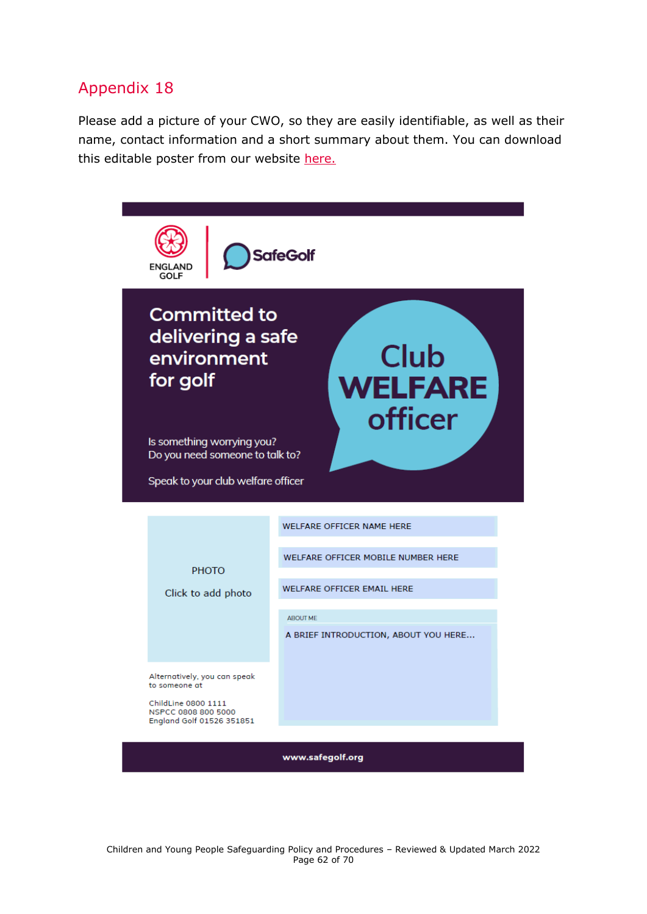<span id="page-61-0"></span>Please add a picture of your CWO, so they are easily identifiable, as well as their name, contact information and a short summary about them. You can download this editable poster from our website [here.](https://www.englandgolf.org/download/club-welfare-officer-editable-poster/)

<span id="page-61-1"></span>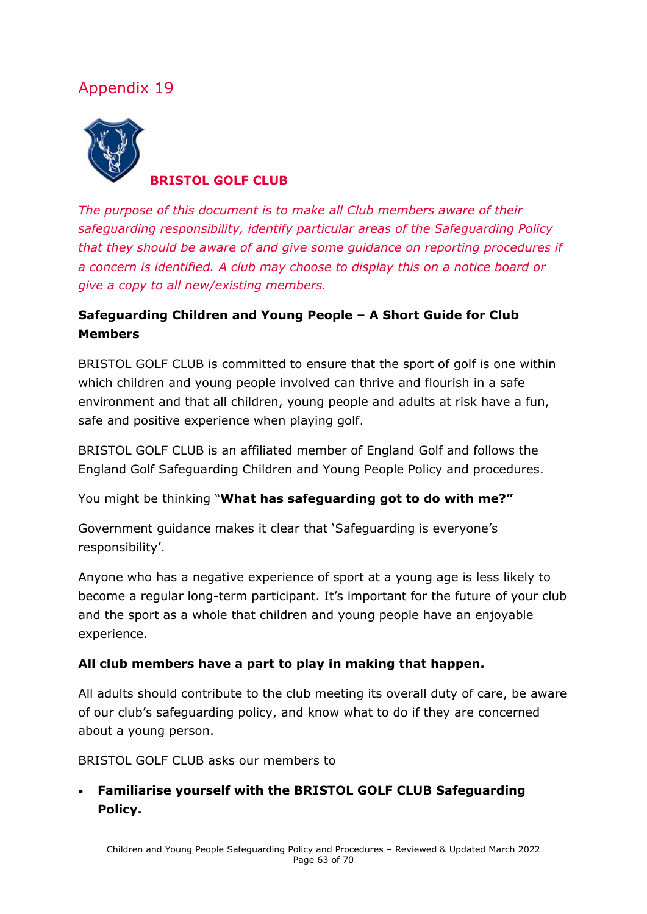

**BRISTOL GOLF CLUB**

*The purpose of this document is to make all Club members aware of their safeguarding responsibility, identify particular areas of the Safeguarding Policy that they should be aware of and give some guidance on reporting procedures if a concern is identified. A club may choose to display this on a notice board or give a copy to all new/existing members.* 

### **Safeguarding Children and Young People – A Short Guide for Club Members**

BRISTOL GOLF CLUB is committed to ensure that the sport of golf is one within which children and young people involved can thrive and flourish in a safe environment and that all children, young people and adults at risk have a fun, safe and positive experience when playing golf.

BRISTOL GOLF CLUB is an affiliated member of England Golf and follows the England Golf Safeguarding Children and Young People Policy and procedures.

You might be thinking "**What has safeguarding got to do with me?"**

Government guidance makes it clear that 'Safeguarding is everyone's responsibility'.

Anyone who has a negative experience of sport at a young age is less likely to become a regular long-term participant. It's important for the future of your club and the sport as a whole that children and young people have an enjoyable experience.

### **All club members have a part to play in making that happen.**

All adults should contribute to the club meeting its overall duty of care, be aware of our club's safeguarding policy, and know what to do if they are concerned about a young person.

BRISTOL GOLF CLUB asks our members to

• **Familiarise yourself with the BRISTOL GOLF CLUB Safeguarding Policy.**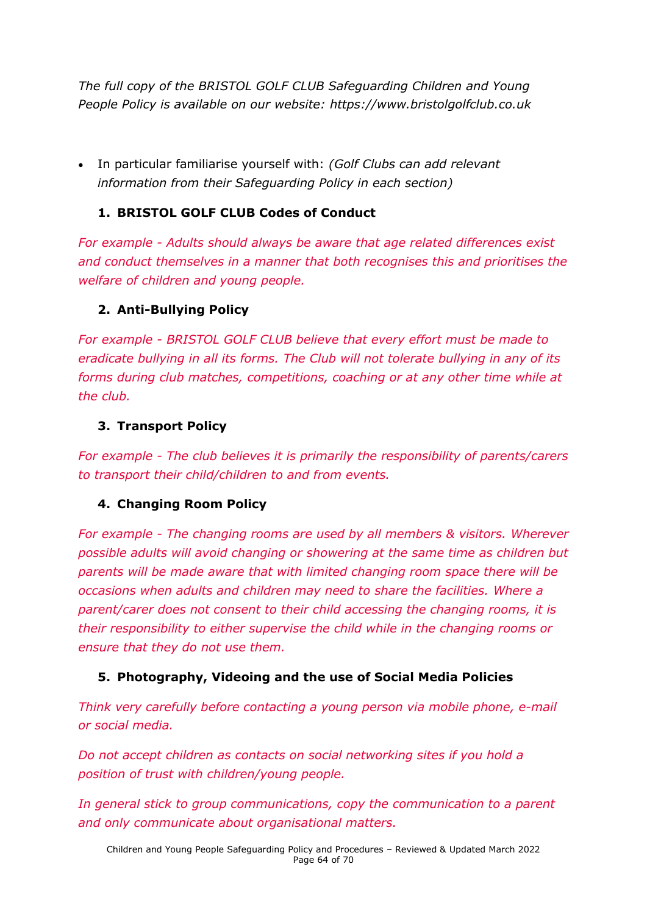*The full copy of the BRISTOL GOLF CLUB Safeguarding Children and Young People Policy is available on our website: https://www.bristolgolfclub.co.uk*

• In particular familiarise yourself with: *(Golf Clubs can add relevant information from their Safeguarding Policy in each section)*

### **1. BRISTOL GOLF CLUB Codes of Conduct**

*For example - Adults should always be aware that age related differences exist and conduct themselves in a manner that both recognises this and prioritises the welfare of children and young people.*

### **2. Anti-Bullying Policy**

*For example - BRISTOL GOLF CLUB believe that every effort must be made to eradicate bullying in all its forms. The Club will not tolerate bullying in any of its forms during club matches, competitions, coaching or at any other time while at the club.*

### **3. Transport Policy**

*For example - The club believes it is primarily the responsibility of parents/carers to transport their child/children to and from events.*

### **4. Changing Room Policy**

*For example - The changing rooms are used by all members & visitors. Wherever possible adults will avoid changing or showering at the same time as children but parents will be made aware that with limited changing room space there will be occasions when adults and children may need to share the facilities. Where a parent/carer does not consent to their child accessing the changing rooms, it is their responsibility to either supervise the child while in the changing rooms or ensure that they do not use them.* 

### **5. Photography, Videoing and the use of Social Media Policies**

*Think very carefully before contacting a young person via mobile phone, e-mail or social media.* 

*Do not accept children as contacts on social networking sites if you hold a position of trust with children/young people.*

*In general stick to group communications, copy the communication to a parent and only communicate about organisational matters.*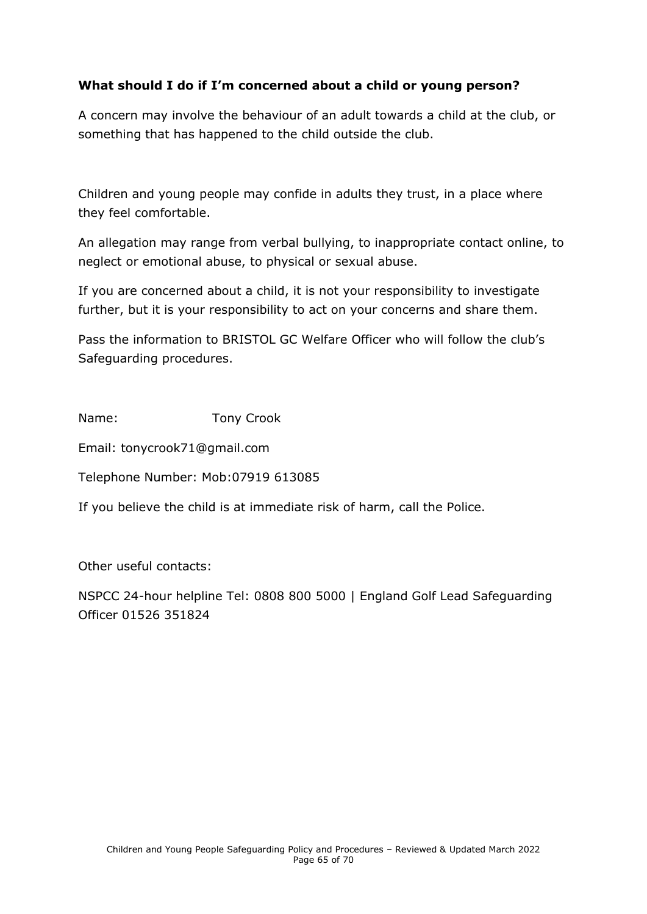### **What should I do if I'm concerned about a child or young person?**

A concern may involve the behaviour of an adult towards a child at the club, or something that has happened to the child outside the club.

Children and young people may confide in adults they trust, in a place where they feel comfortable.

An allegation may range from verbal bullying, to inappropriate contact online, to neglect or emotional abuse, to physical or sexual abuse.

If you are concerned about a child, it is not your responsibility to investigate further, but it is your responsibility to act on your concerns and share them.

Pass the information to BRISTOL GC Welfare Officer who will follow the club's Safeguarding procedures.

Name: Tony Crook

Email: tonycrook71@gmail.com

Telephone Number: Mob:07919 613085

If you believe the child is at immediate risk of harm, call the Police.

Other useful contacts:

<span id="page-64-0"></span>NSPCC 24-hour helpline Tel: 0808 800 5000 | England Golf Lead Safeguarding Officer 01526 351824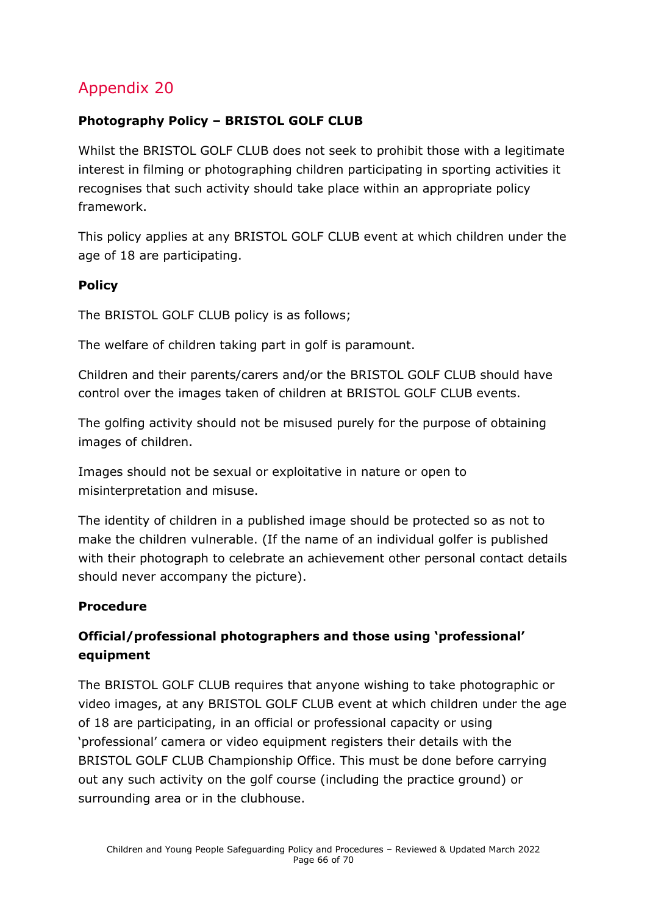### **Photography Policy – BRISTOL GOLF CLUB**

Whilst the BRISTOL GOLF CLUB does not seek to prohibit those with a legitimate interest in filming or photographing children participating in sporting activities it recognises that such activity should take place within an appropriate policy framework.

This policy applies at any BRISTOL GOLF CLUB event at which children under the age of 18 are participating.

### **Policy**

The BRISTOL GOLF CLUB policy is as follows;

The welfare of children taking part in golf is paramount.

Children and their parents/carers and/or the BRISTOL GOLF CLUB should have control over the images taken of children at BRISTOL GOLF CLUB events.

The golfing activity should not be misused purely for the purpose of obtaining images of children.

Images should not be sexual or exploitative in nature or open to misinterpretation and misuse.

The identity of children in a published image should be protected so as not to make the children vulnerable. (If the name of an individual golfer is published with their photograph to celebrate an achievement other personal contact details should never accompany the picture).

### **Procedure**

### **Official/professional photographers and those using 'professional' equipment**

The BRISTOL GOLF CLUB requires that anyone wishing to take photographic or video images, at any BRISTOL GOLF CLUB event at which children under the age of 18 are participating, in an official or professional capacity or using 'professional' camera or video equipment registers their details with the BRISTOL GOLF CLUB Championship Office. This must be done before carrying out any such activity on the golf course (including the practice ground) or surrounding area or in the clubhouse.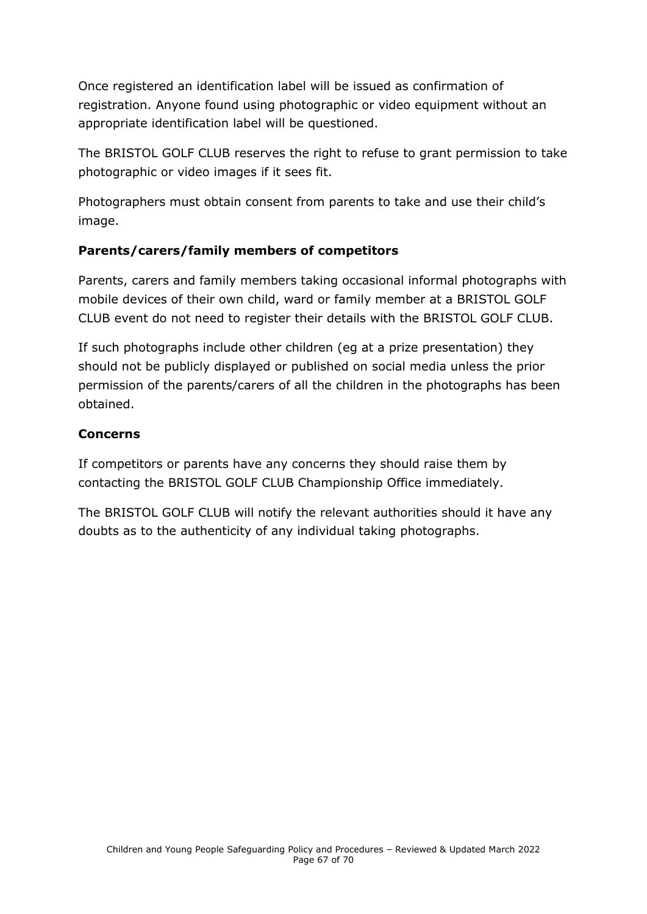Once registered an identification label will be issued as confirmation of registration. Anyone found using photographic or video equipment without an appropriate identification label will be questioned.

The BRISTOL GOLF CLUB reserves the right to refuse to grant permission to take photographic or video images if it sees fit.

Photographers must obtain consent from parents to take and use their child's image.

### **Parents/carers/family members of competitors**

Parents, carers and family members taking occasional informal photographs with mobile devices of their own child, ward or family member at a BRISTOL GOLF CLUB event do not need to register their details with the BRISTOL GOLF CLUB.

If such photographs include other children (eg at a prize presentation) they should not be publicly displayed or published on social media unless the prior permission of the parents/carers of all the children in the photographs has been obtained.

### **Concerns**

If competitors or parents have any concerns they should raise them by contacting the BRISTOL GOLF CLUB Championship Office immediately.

<span id="page-66-0"></span>The BRISTOL GOLF CLUB will notify the relevant authorities should it have any doubts as to the authenticity of any individual taking photographs.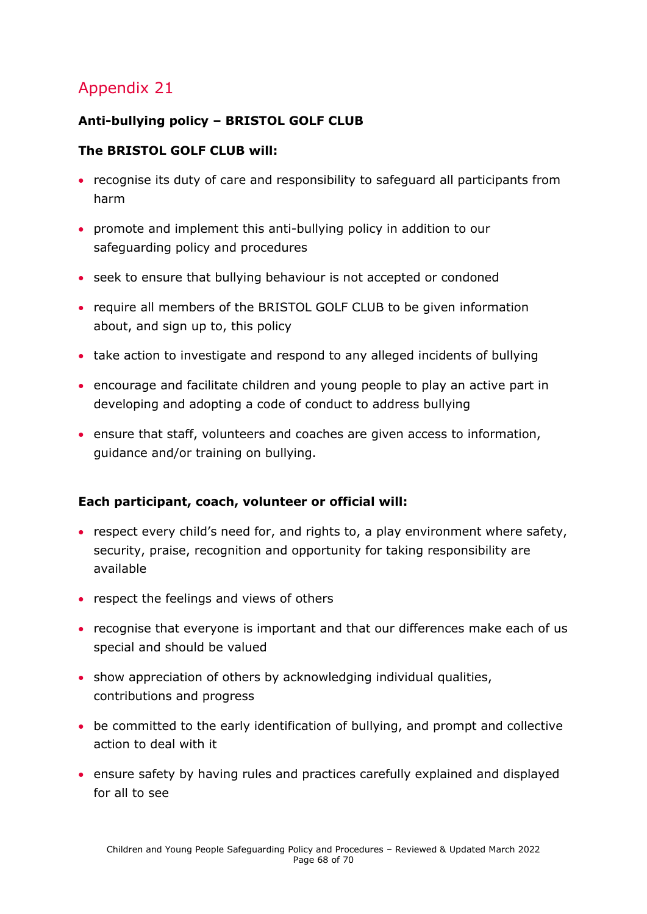### **Anti-bullying policy – BRISTOL GOLF CLUB**

#### **The BRISTOL GOLF CLUB will:**

- recognise its duty of care and responsibility to safeguard all participants from harm
- promote and implement this anti-bullying policy in addition to our safeguarding policy and procedures
- seek to ensure that bullying behaviour is not accepted or condoned
- require all members of the BRISTOL GOLF CLUB to be given information about, and sign up to, this policy
- take action to investigate and respond to any alleged incidents of bullying
- encourage and facilitate children and young people to play an active part in developing and adopting a code of conduct to address bullying
- ensure that staff, volunteers and coaches are given access to information, guidance and/or training on bullying.

#### **Each participant, coach, volunteer or official will:**

- respect every child's need for, and rights to, a play environment where safety, security, praise, recognition and opportunity for taking responsibility are available
- respect the feelings and views of others
- recognise that everyone is important and that our differences make each of us special and should be valued
- show appreciation of others by acknowledging individual qualities, contributions and progress
- be committed to the early identification of bullying, and prompt and collective action to deal with it
- ensure safety by having rules and practices carefully explained and displayed for all to see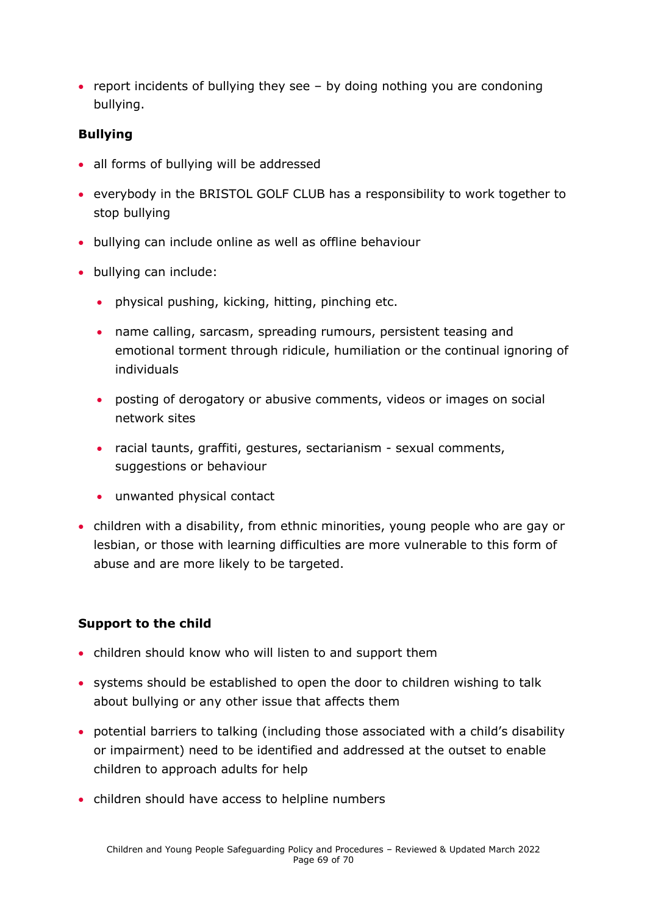• report incidents of bullying they see – by doing nothing you are condoning bullying.

#### **Bullying**

- all forms of bullying will be addressed
- everybody in the BRISTOL GOLF CLUB has a responsibility to work together to stop bullying
- bullying can include online as well as offline behaviour
- bullying can include:
	- physical pushing, kicking, hitting, pinching etc.
	- name calling, sarcasm, spreading rumours, persistent teasing and emotional torment through ridicule, humiliation or the continual ignoring of individuals
	- posting of derogatory or abusive comments, videos or images on social network sites
	- racial taunts, graffiti, gestures, sectarianism sexual comments, suggestions or behaviour
	- unwanted physical contact
- children with a disability, from ethnic minorities, young people who are gay or lesbian, or those with learning difficulties are more vulnerable to this form of abuse and are more likely to be targeted.

#### **Support to the child**

- children should know who will listen to and support them
- systems should be established to open the door to children wishing to talk about bullying or any other issue that affects them
- potential barriers to talking (including those associated with a child's disability or impairment) need to be identified and addressed at the outset to enable children to approach adults for help
- children should have access to helpline numbers